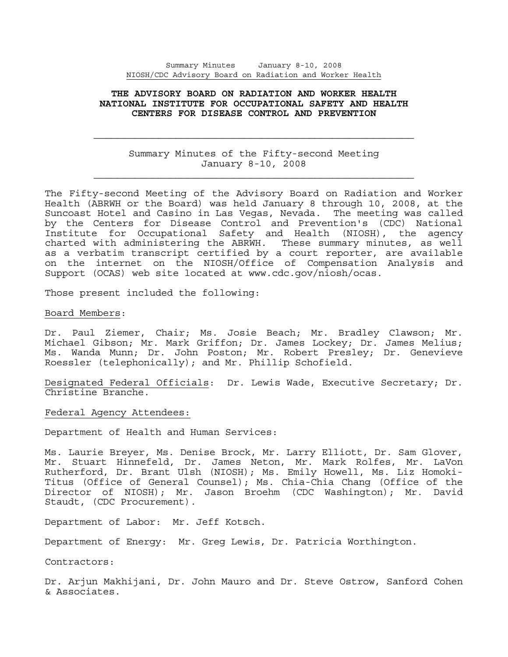## **THE ADVISORY BOARD ON RADIATION AND WORKER HEALTH NATIONAL INSTITUTE FOR OCCUPATIONAL SAFETY AND HEALTH CENTERS FOR DISEASE CONTROL AND PREVENTION**

## Summary Minutes of the Fifty-second Meeting January 8-10, 2008

The Fifty-second Meeting of the Advisory Board on Radiation and Worker Health (ABRWH or the Board) was held January 8 through 10, 2008, at the Suncoast Hotel and Casino in Las Vegas, Nevada. The meeting was called by the Centers for Disease Control and Prevention's (CDC) National Institute for Occupational Safety and Health (NIOSH), the agency charted with administering the ABRWH. These summary minutes, as well as a verbatim transcript certified by a court reporter, are available on the internet on the NIOSH/Office of Compensation Analysis and Support (OCAS) web site located at www.cdc.gov/niosh/ocas.

Those present included the following:

Board Members:

Dr. Paul Ziemer, Chair; Ms. Josie Beach; Mr. Bradley Clawson; Mr. Michael Gibson; Mr. Mark Griffon; Dr. James Lockey; Dr. James Melius; Ms. Wanda Munn; Dr. John Poston; Mr. Robert Presley; Dr. Genevieve Roessler (telephonically); and Mr. Phillip Schofield.

Designated Federal Officials: Dr. Lewis Wade, Executive Secretary; Dr. Christine Branche.

Federal Agency Attendees:

Department of Health and Human Services:

Ms. Laurie Breyer, Ms. Denise Brock, Mr. Larry Elliott, Dr. Sam Glover, Mr. Stuart Hinnefeld, Dr. James Neton, Mr. Mark Rolfes, Mr. LaVon Rutherford, Dr. Brant Ulsh (NIOSH); Ms. Emily Howell, Ms. Liz Homoki-Titus (Office of General Counsel); Ms. Chia-Chia Chang (Office of the Director of NIOSH); Mr. Jason Broehm (CDC Washington); Mr. David Staudt, (CDC Procurement).

Department of Labor: Mr. Jeff Kotsch.

Department of Energy: Mr. Greg Lewis, Dr. Patricia Worthington.

Contractors:

Dr. Arjun Makhijani, Dr. John Mauro and Dr. Steve Ostrow, Sanford Cohen & Associates.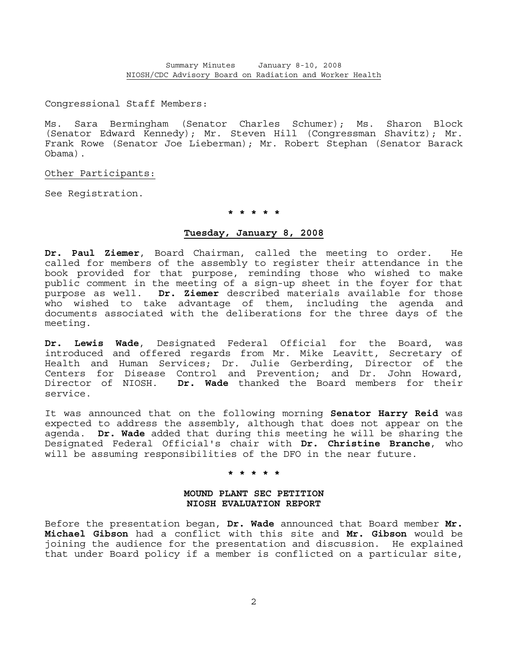Congressional Staff Members:

Ms. Sara Bermingham (Senator Charles Schumer); Ms. Sharon Block (Senator Edward Kennedy); Mr. Steven Hill (Congressman Shavitz); Mr. Frank Rowe (Senator Joe Lieberman); Mr. Robert Stephan (Senator Barack Obama).

Other Participants:

See Registration.

## **\* \* \* \* \***

## **Tuesday, January 8, 2008**

**Dr. Paul Ziemer**, Board Chairman, called the meeting to order. He called for members of the assembly to register their attendance in the book provided for that purpose, reminding those who wished to make public comment in the meeting of a sign-up sheet in the foyer for that purpose as well. **Dr. Ziemer** described materials available for those who wished to take advantage of them, including the agenda and documents associated with the deliberations for the three days of the meeting.

**Dr. Lewis Wade**, Designated Federal Official for the Board, was introduced and offered regards from Mr. Mike Leavitt, Secretary of Health and Human Services; Dr. Julie Gerberding, Director of the Centers for Disease Control and Prevention; and Dr. John Howard, Director of NIOSH. **Dr. Wade** thanked the Board members for their service.

It was announced that on the following morning **Senator Harry Reid** was expected to address the assembly, although that does not appear on the agenda. **Dr. Wade** added that during this meeting he will be sharing the Designated Federal Official's chair with **Dr. Christine Branche**, who will be assuming responsibilities of the DFO in the near future.

#### **\* \* \* \* \***

## **MOUND PLANT SEC PETITION NIOSH EVALUATION REPORT**

Before the presentation began, **Dr. Wade** announced that Board member **Mr. Michael Gibson** had a conflict with this site and **Mr. Gibson** would be joining the audience for the presentation and discussion. He explained that under Board policy if a member is conflicted on a particular site,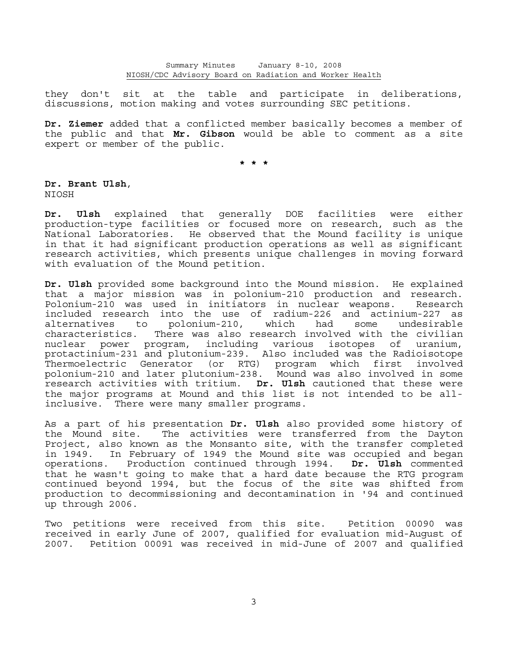they don't sit at the table and participate in deliberations, discussions, motion making and votes surrounding SEC petitions.

**Dr. Ziemer** added that a conflicted member basically becomes a member of the public and that **Mr. Gibson** would be able to comment as a site expert or member of the public.

 **\* \* \***

**Dr. Brant Ulsh**, NIOSH

**Dr. Ulsh** explained that generally DOE facilities were either production-type facilities or focused more on research, such as the National Laboratories. He observed that the Mound facility is unique in that it had significant production operations as well as significant research activities, which presents unique challenges in moving forward with evaluation of the Mound petition.

**Dr. Ulsh** provided some background into the Mound mission. He explained that a major mission was in polonium-210 production and research. Polonium-210 was used in initiators in nuclear weapons. Research included research into the use of radium-226 and actinium-227 as alternatives to polonium-210, which had some undesirable characteristics. There was also research involved with the civilian nuclear power program, including various isotopes of uranium, protactinium-231 and plutonium-239. Also included was the Radioisotope Thermoelectric Generator (or RTG) program which first involved polonium-210 and later plutonium-238. Mound was also involved in some research activities with tritium. **Dr. Ulsh** cautioned that these were the major programs at Mound and this list is not intended to be allinclusive. There were many smaller programs.

As a part of his presentation **Dr. Ulsh** also provided some history of the Mound site. The activities were transferred from the Dayton Project, also known as the Monsanto site, with the transfer completed in 1949. In February of 1949 the Mound site was occupied and began operations. Production continued through 1994. **Dr. Ulsh** commented that he wasn't going to make that a hard date because the RTG program continued beyond 1994, but the focus of the site was shifted from production to decommissioning and decontamination in '94 and continued up through 2006.

Two petitions were received from this site. Petition 00090 was received in early June of 2007, qualified for evaluation mid-August of 2007. Petition 00091 was received in mid-June of 2007 and qualified

3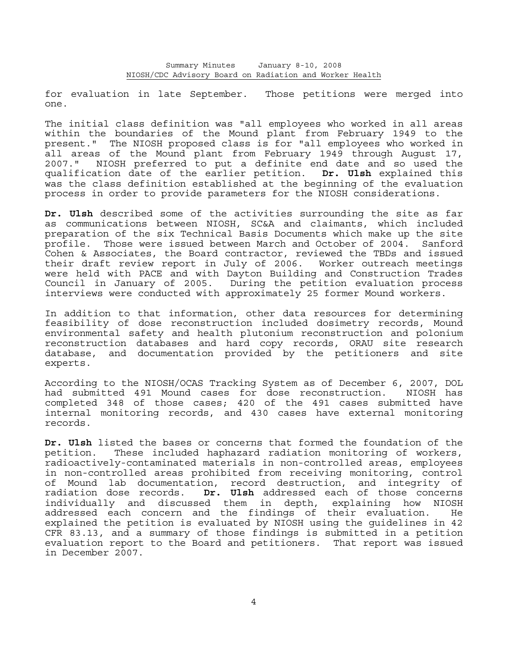for evaluation in late September. Those petitions were merged into one.

The initial class definition was "all employees who worked in all areas within the boundaries of the Mound plant from February 1949 to the present." The NIOSH proposed class is for "all employees who worked in all areas of the Mound plant from February 1949 through August 17, 2007." NIOSH preferred to put a definite end date and so used the qualification date of the earlier petition. **Dr. Ulsh** explained this was the class definition established at the beginning of the evaluation process in order to provide parameters for the NIOSH considerations.

**Dr. Ulsh** described some of the activities surrounding the site as far as communications between NIOSH, SC&A and claimants, which included preparation of the six Technical Basis Documents which make up the site profile. Those were issued between March and October of 2004. Sanford Cohen & Associates, the Board contractor, reviewed the TBDs and issued their draft review report in July of 2006. Worker outreach meetings were held with PACE and with Dayton Building and Construction Trades Council in January of 2005. During the petition evaluation process interviews were conducted with approximately 25 former Mound workers.

In addition to that information, other data resources for determining feasibility of dose reconstruction included dosimetry records, Mound environmental safety and health plutonium reconstruction and polonium reconstruction databases and hard copy records, ORAU site research database, and documentation provided by the petitioners and site experts.

According to the NIOSH/OCAS Tracking System as of December 6, 2007, DOL had submitted 491 Mound cases for dose reconstruction. NIOSH has completed 348 of those cases; 420 of the 491 cases submitted have internal monitoring records, and 430 cases have external monitoring records.

**Dr. Ulsh** listed the bases or concerns that formed the foundation of the petition. These included haphazard radiation monitoring of workers, radioactively-contaminated materials in non-controlled areas, employees in non-controlled areas prohibited from receiving monitoring, control of Mound lab documentation, record destruction, and integrity of radiation dose records. **Dr. Ulsh** addressed each of those concerns individually and discussed them in depth, explaining how NIOSH addressed each concern and the findings of their evaluation. He explained the petition is evaluated by NIOSH using the guidelines in 42 CFR 83.13, and a summary of those findings is submitted in a petition evaluation report to the Board and petitioners. That report was issued in December 2007.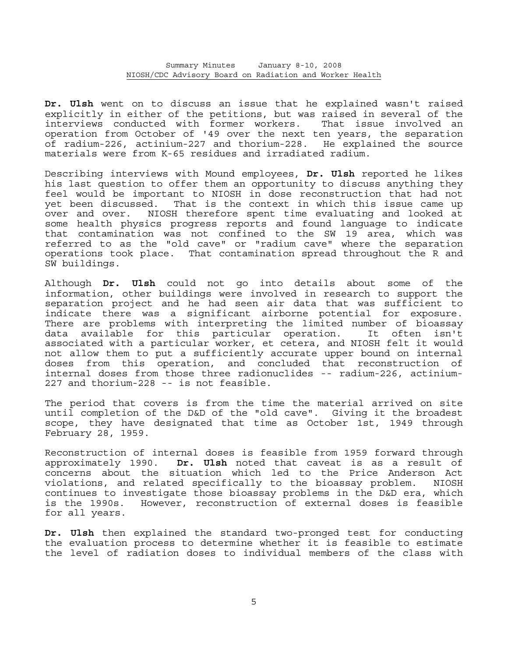**Dr. Ulsh** went on to discuss an issue that he explained wasn't raised explicitly in either of the petitions, but was raised in several of the interviews conducted with former workers. That issue involved an operation from October of '49 over the next ten years, the separation of radium-226, actinium-227 and thorium-228. He explained the source materials were from K-65 residues and irradiated radium.

Describing interviews with Mound employees, **Dr. Ulsh** reported he likes his last question to offer them an opportunity to discuss anything they feel would be important to NIOSH in dose reconstruction that had not yet been discussed. That is the context in which this issue came up over and over. NIOSH therefore spent time evaluating and looked at some health physics progress reports and found language to indicate that contamination was not confined to the SW 19 area, which was referred to as the "old cave" or "radium cave" where the separation operations took place. That contamination spread throughout the R and SW buildings.

Although **Dr. Ulsh** could not go into details about some of the information, other buildings were involved in research to support the separation project and he had seen air data that was sufficient to indicate there was a significant airborne potential for exposure. There are problems with interpreting the limited number of bioassay data available for this particular operation. It often isn't associated with a particular worker, et cetera, and NIOSH felt it would not allow them to put a sufficiently accurate upper bound on internal doses from this operation, and concluded that reconstruction of internal doses from those three radionuclides -- radium-226, actinium-227 and thorium-228 -- is not feasible.

The period that covers is from the time the material arrived on site until completion of the D&D of the "old cave". Giving it the broadest scope, they have designated that time as October 1st, 1949 through February 28, 1959.

Reconstruction of internal doses is feasible from 1959 forward through approximately 1990. **Dr. Ulsh** noted that caveat is as a result of concerns about the situation which led to the Price Anderson Act violations, and related specifically to the bioassay problem. NIOSH continues to investigate those bioassay problems in the D&D era, which is the 1990s. However, reconstruction of external doses is feasible for all years.

**Dr. Ulsh** then explained the standard two-pronged test for conducting the evaluation process to determine whether it is feasible to estimate the level of radiation doses to individual members of the class with

<u>5</u>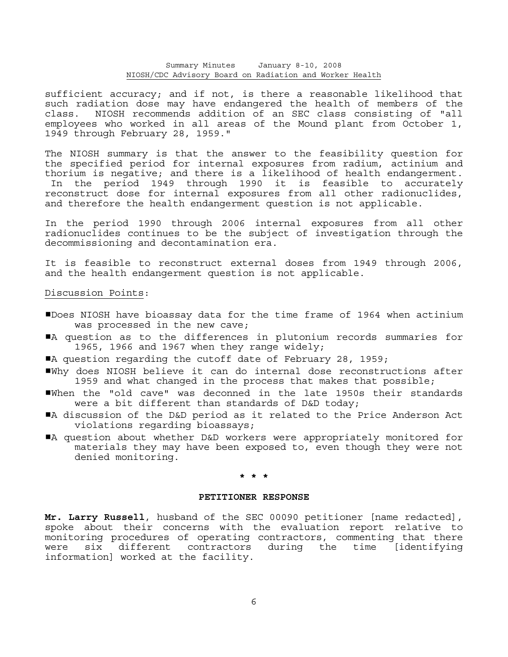sufficient accuracy; and if not, is there a reasonable likelihood that such radiation dose may have endangered the health of members of the class. NIOSH recommends addition of an SEC class consisting of "all employees who worked in all areas of the Mound plant from October 1, 1949 through February 28, 1959."

The NIOSH summary is that the answer to the feasibility question for the specified period for internal exposures from radium, actinium and thorium is negative; and there is a likelihood of health endangerment. In the period 1949 through 1990 it is feasible to accurately reconstruct dose for internal exposures from all other radionuclides, and therefore the health endangerment question is not applicable.

In the period 1990 through 2006 internal exposures from all other radionuclides continues to be the subject of investigation through the decommissioning and decontamination era.

It is feasible to reconstruct external doses from 1949 through 2006, and the health endangerment question is not applicable.

#### Discussion Points:

- #Does NIOSH have bioassay data for the time frame of 1964 when actinium was processed in the new cave;
- #A question as to the differences in plutonium records summaries for 1965, 1966 and 1967 when they range widely;
- $\blacksquare$ A question regarding the cutoff date of February 28, 1959;
- #Why does NIOSH believe it can do internal dose reconstructions after 1959 and what changed in the process that makes that possible;
- #When the "old cave" was deconned in the late 1950s their standards were a bit different than standards of D&D today;
- A discussion of the D&D period as it related to the Price Anderson Act violations regarding bioassays;
- ■A question about whether D&D workers were appropriately monitored for materials they may have been exposed to, even though they were not denied monitoring.

 **\* \* \***

#### **PETITIONER RESPONSE**

**Mr. Larry Russell**, husband of the SEC 00090 petitioner [name redacted], spoke about their concerns with the evaluation report relative to monitoring procedures of operating contractors, commenting that there were six different contractors during the time [identifying information] worked at the facility.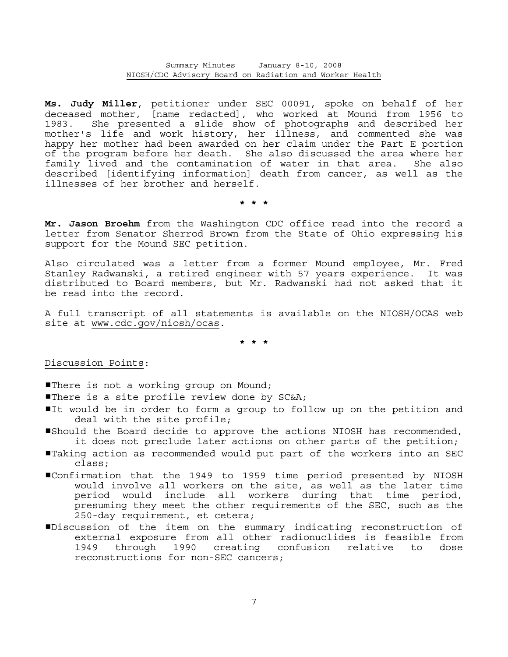**Ms. Judy Miller**, petitioner under SEC 00091, spoke on behalf of her deceased mother, [name redacted], who worked at Mound from 1956 to 1983. She presented a slide show of photographs and described her mother's life and work history, her illness, and commented she was happy her mother had been awarded on her claim under the Part E portion of the program before her death. She also discussed the area where her family lived and the contamination of water in that area. She also described [identifying information] death from cancer, as well as the illnesses of her brother and herself.

 **\* \* \*** 

**Mr. Jason Broehm** from the Washington CDC office read into the record a letter from Senator Sherrod Brown from the State of Ohio expressing his support for the Mound SEC petition.

Also circulated was a letter from a former Mound employee, Mr. Fred Stanley Radwanski, a retired engineer with 57 years experience. It was distributed to Board members, but Mr. Radwanski had not asked that it be read into the record.

A full transcript of all statements is available on the NIOSH/OCAS web site at www.cdc.gov/niosh/ocas.

 **\* \* \***

Discussion Points:

**There is not a working group on Mound;** 

There is a site profile review done by SC&A;

- #It would be in order to form a group to follow up on the petition and deal with the site profile;
- #Should the Board decide to approve the actions NIOSH has recommended, it does not preclude later actions on other parts of the petition;
- #Taking action as recommended would put part of the workers into an SEC class;
- #Confirmation that the 1949 to 1959 time period presented by NIOSH would involve all workers on the site, as well as the later time period would include all workers during that time period, presuming they meet the other requirements of the SEC, such as the 250-day requirement, et cetera;
- #Discussion of the item on the summary indicating reconstruction of external exposure from all other radionuclides is feasible from 1949 through 1990 creating confusion relative to dose reconstructions for non-SEC cancers;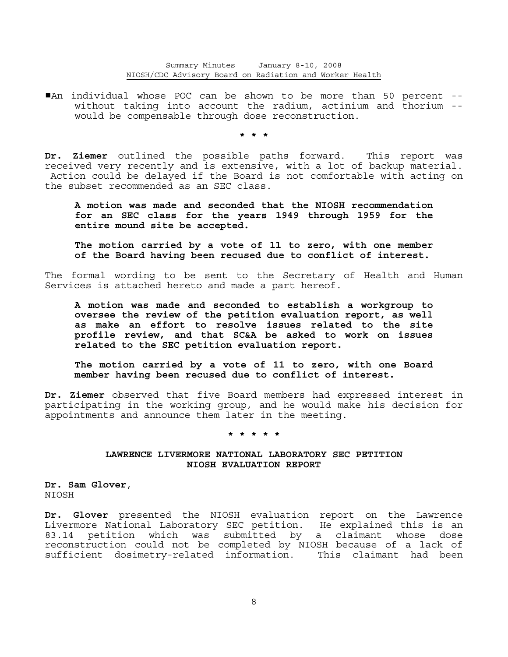An individual whose POC can be shown to be more than 50 percent -without taking into account the radium, actinium and thorium - would be compensable through dose reconstruction.

 **\* \* \***

**Dr. Ziemer** outlined the possible paths forward. This report was received very recently and is extensive, with a lot of backup material. Action could be delayed if the Board is not comfortable with acting on the subset recommended as an SEC class.

 **A motion was made and seconded that the NIOSH recommendation for an SEC class for the years 1949 through 1959 for the entire mound site be accepted.**

 **The motion carried by a vote of 11 to zero, with one member of the Board having been recused due to conflict of interest.**

The formal wording to be sent to the Secretary of Health and Human Services is attached hereto and made a part hereof.

 **A motion was made and seconded to establish a workgroup to oversee the review of the petition evaluation report, as well as make an effort to resolve issues related to the site profile review, and that SC&A be asked to work on issues related to the SEC petition evaluation report.**

 **The motion carried by a vote of 11 to zero, with one Board member having been recused due to conflict of interest.**

**Dr. Ziemer** observed that five Board members had expressed interest in participating in the working group, and he would make his decision for appointments and announce them later in the meeting.

#### **\* \* \* \* \***

## **LAWRENCE LIVERMORE NATIONAL LABORATORY SEC PETITION NIOSH EVALUATION REPORT**

**Dr. Sam Glover**, NIOSH

**Dr. Glover** presented the NIOSH evaluation report on the Lawrence Livermore National Laboratory SEC petition. He explained this is an 83.14 petition which was submitted by a claimant whose dose reconstruction could not be completed by NIOSH because of a lack of sufficient dosimetry-related information. This claimant had been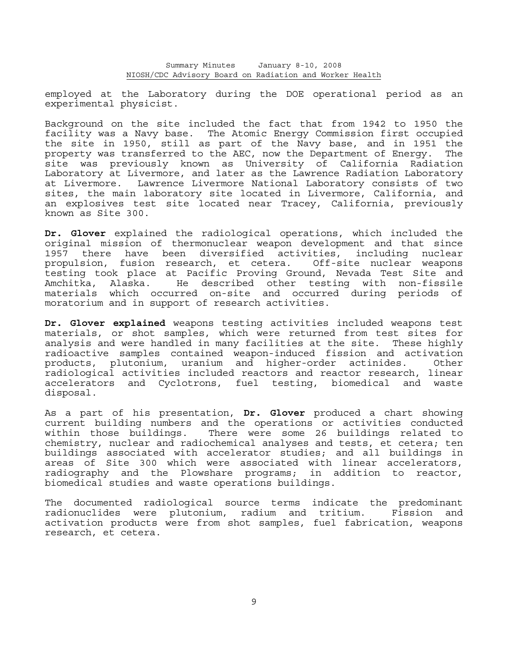employed at the Laboratory during the DOE operational period as an experimental physicist.

Background on the site included the fact that from 1942 to 1950 the facility was a Navy base. The Atomic Energy Commission first occupied the site in 1950, still as part of the Navy base, and in 1951 the property was transferred to the AEC, now the Department of Energy. The site was previously known as University of California Radiation Laboratory at Livermore, and later as the Lawrence Radiation Laboratory at Livermore. Lawrence Livermore National Laboratory consists of two sites, the main laboratory site located in Livermore, California, and an explosives test site located near Tracey, California, previously known as Site 300.

**Dr. Glover** explained the radiological operations, which included the original mission of thermonuclear weapon development and that since 1957 there have been diversified activities, including nuclear propulsion, fusion research, et cetera. Off-site nuclear weapons testing took place at Pacific Proving Ground, Nevada Test Site and Amchitka, Alaska. He described other testing with non-fissile materials which occurred on-site and occurred during periods of moratorium and in support of research activities.

**Dr. Glover explained** weapons testing activities included weapons test materials, or shot samples, which were returned from test sites for analysis and were handled in many facilities at the site. These highly radioactive samples contained weapon-induced fission and activation products, plutonium, uranium and higher-order actinides. Other radiological activities included reactors and reactor research, linear accelerators and Cyclotrons, fuel testing, biomedical and waste disposal.

As a part of his presentation, **Dr. Glover** produced a chart showing current building numbers and the operations or activities conducted within those buildings. There were some 26 buildings related to chemistry, nuclear and radiochemical analyses and tests, et cetera; ten buildings associated with accelerator studies; and all buildings in areas of Site 300 which were associated with linear accelerators, radiography and the Plowshare programs; in addition to reactor, biomedical studies and waste operations buildings.

The documented radiological source terms indicate the predominant radionuclides were plutonium, radium and tritium. Fission and activation products were from shot samples, fuel fabrication, weapons research, et cetera.

9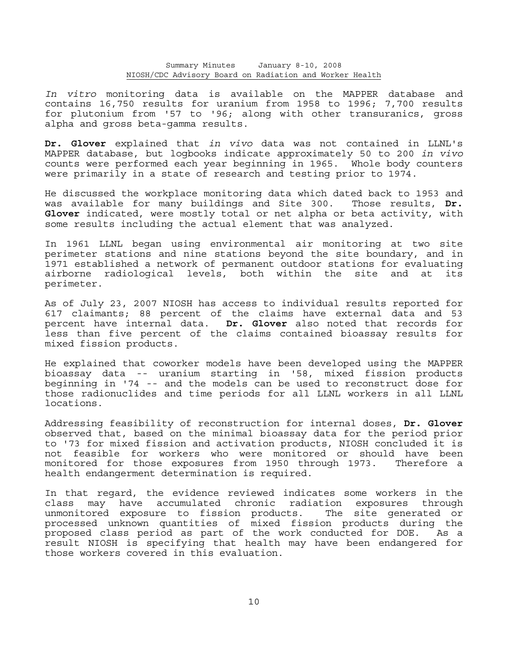*In vitro* monitoring data is available on the MAPPER database and contains 16,750 results for uranium from 1958 to 1996; 7,700 results for plutonium from '57 to '96; along with other transuranics, gross alpha and gross beta-gamma results.

**Dr. Glover** explained that *in vivo* data was not contained in LLNL's MAPPER database, but logbooks indicate approximately 50 to 200 *in vivo* counts were performed each year beginning in 1965. Whole body counters were primarily in a state of research and testing prior to 1974.

He discussed the workplace monitoring data which dated back to 1953 and was available for many buildings and Site 300. Those results, **Dr. Glover** indicated, were mostly total or net alpha or beta activity, with some results including the actual element that was analyzed.

In 1961 LLNL began using environmental air monitoring at two site perimeter stations and nine stations beyond the site boundary, and in 1971 established a network of permanent outdoor stations for evaluating airborne radiological levels, both within the site and at its perimeter.

As of July 23, 2007 NIOSH has access to individual results reported for 617 claimants; 88 percent of the claims have external data and 53 percent have internal data. **Dr. Glover** also noted that records for less than five percent of the claims contained bioassay results for mixed fission products.

He explained that coworker models have been developed using the MAPPER bioassay data -- uranium starting in '58, mixed fission products beginning in '74 -- and the models can be used to reconstruct dose for those radionuclides and time periods for all LLNL workers in all LLNL locations.

Addressing feasibility of reconstruction for internal doses, **Dr. Glover** observed that, based on the minimal bioassay data for the period prior to '73 for mixed fission and activation products, NIOSH concluded it is not feasible for workers who were monitored or should have been monitored for those exposures from 1950 through 1973. Therefore a health endangerment determination is required.

In that regard, the evidence reviewed indicates some workers in the class may have accumulated chronic radiation exposures through unmonitored exposure to fission products. The site generated or processed unknown quantities of mixed fission products during the proposed class period as part of the work conducted for DOE. As a result NIOSH is specifying that health may have been endangered for those workers covered in this evaluation.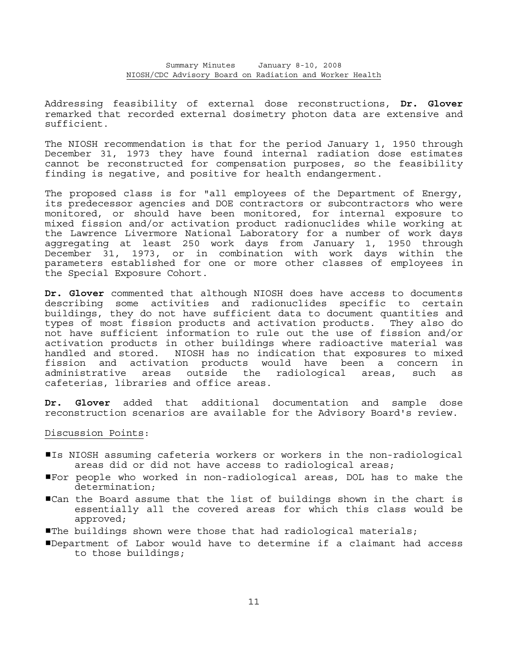Addressing feasibility of external dose reconstructions, **Dr. Glover** remarked that recorded external dosimetry photon data are extensive and sufficient.

The NIOSH recommendation is that for the period January 1, 1950 through December 31, 1973 they have found internal radiation dose estimates cannot be reconstructed for compensation purposes, so the feasibility finding is negative, and positive for health endangerment.

The proposed class is for "all employees of the Department of Energy, its predecessor agencies and DOE contractors or subcontractors who were monitored, or should have been monitored, for internal exposure to mixed fission and/or activation product radionuclides while working at the Lawrence Livermore National Laboratory for a number of work days aggregating at least 250 work days from January 1, 1950 through December 31, 1973, or in combination with work days within the parameters established for one or more other classes of employees in the Special Exposure Cohort.

**Dr. Glover** commented that although NIOSH does have access to documents describing some activities and radionuclides specific to certain buildings, they do not have sufficient data to document quantities and types of most fission products and activation products. They also do not have sufficient information to rule out the use of fission and/or activation products in other buildings where radioactive material was handled and stored. NIOSH has no indication that exposures to mixed fission and activation products would have been a concern in administrative areas outside the radiological areas, such as cafeterias, libraries and office areas.

**Dr. Glover** added that additional documentation and sample dose reconstruction scenarios are available for the Advisory Board's review.

## Discussion Points:

- #Is NIOSH assuming cafeteria workers or workers in the non-radiological areas did or did not have access to radiological areas;
- $\,\!\!\mathrel{\blacktriangleright}$ For people who worked in non-radiological areas, DOL has to make the determination;
- #Can the Board assume that the list of buildings shown in the chart is essentially all the covered areas for which this class would be approved;
- The buildings shown were those that had radiological materials;
- #Department of Labor would have to determine if a claimant had access to those buildings;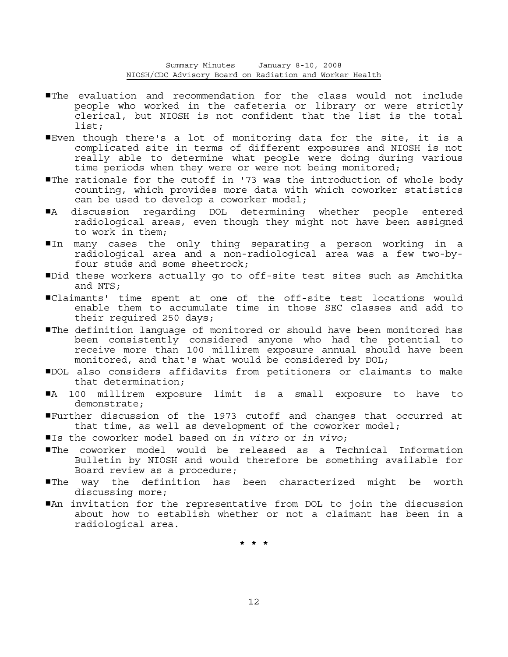- #The evaluation and recommendation for the class would not include people who worked in the cafeteria or library or were strictly clerical, but NIOSH is not confident that the list is the total list;
- #Even though there's a lot of monitoring data for the site, it is a complicated site in terms of different exposures and NIOSH is not really able to determine what people were doing during various time periods when they were or were not being monitored;
- The rationale for the cutoff in '73 was the introduction of whole body counting, which provides more data with which coworker statistics can be used to develop a coworker model;
- #A discussion regarding DOL determining whether people entered radiological areas, even though they might not have been assigned to work in them;
- #In many cases the only thing separating a person working in a radiological area and a non-radiological area was a few two-byfour studs and some sheetrock;
- #Did these workers actually go to off-site test sites such as Amchitka and NTS;
- #Claimants' time spent at one of the off-site test locations would enable them to accumulate time in those SEC classes and add to their required 250 days;
- #The definition language of monitored or should have been monitored has been consistently considered anyone who had the potential to receive more than 100 millirem exposure annual should have been monitored, and that's what would be considered by DOL;
- #DOL also considers affidavits from petitioners or claimants to make that determination;
- A 100 millirem exposure limit is a small exposure to have to demonstrate;
- #Further discussion of the 1973 cutoff and changes that occurred at that time, as well as development of the coworker model;
- #Is the coworker model based on *in vitro* or *in vivo*;
- #The coworker model would be released as a Technical Information Bulletin by NIOSH and would therefore be something available for Board review as a procedure;
- #The way the definition has been characterized might be worth discussing more;
- #An invitation for the representative from DOL to join the discussion about how to establish whether or not a claimant has been in a radiological area.

 **\* \* \***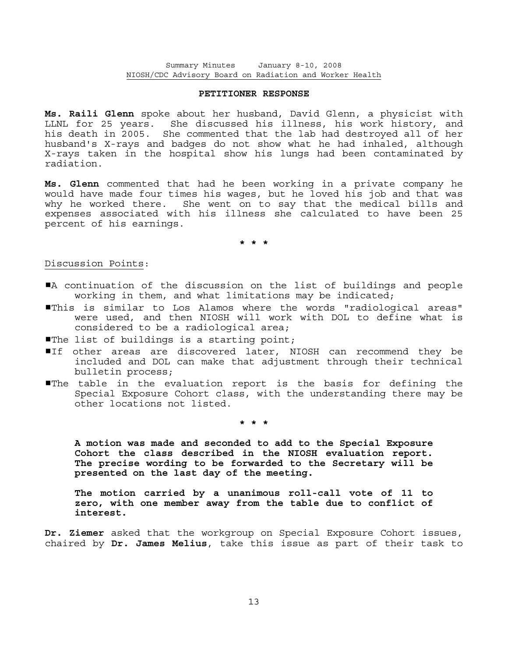#### **PETITIONER RESPONSE**

**Ms. Raili Glenn** spoke about her husband, David Glenn, a physicist with LLNL for 25 years. She discussed his illness, his work history, and his death in 2005. She commented that the lab had destroyed all of her husband's X-rays and badges do not show what he had inhaled, although X-rays taken in the hospital show his lungs had been contaminated by radiation.

**Ms. Glenn** commented that had he been working in a private company he would have made four times his wages, but he loved his job and that was why he worked there. She went on to say that the medical bills and expenses associated with his illness she calculated to have been 25 percent of his earnings.

 **\* \* \***

### Discussion Points:

- #A continuation of the discussion on the list of buildings and people working in them, and what limitations may be indicated;
- #This is similar to Los Alamos where the words "radiological areas" were used, and then NIOSH will work with DOL to define what is considered to be a radiological area;
- **The list of buildings is a starting point;**
- If other areas are discovered later, NIOSH can recommend they be included and DOL can make that adjustment through their technical bulletin process;
- **I** The table in the evaluation report is the basis for defining the Special Exposure Cohort class, with the understanding there may be other locations not listed.

 **\* \* \***

 **A motion was made and seconded to add to the Special Exposure Cohort the class described in the NIOSH evaluation report. The precise wording to be forwarded to the Secretary will be presented on the last day of the meeting.** 

 **The motion carried by a unanimous roll-call vote of 11 to zero, with one member away from the table due to conflict of interest.**

**Dr. Ziemer** asked that the workgroup on Special Exposure Cohort issues, chaired by **Dr. James Melius**, take this issue as part of their task to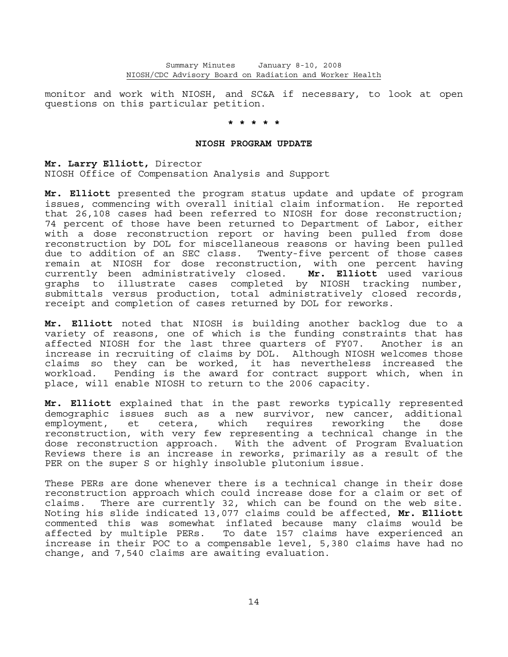monitor and work with NIOSH, and SC&A if necessary, to look at open questions on this particular petition.

## **\* \* \* \* \***

#### **NIOSH PROGRAM UPDATE**

**Mr. Larry Elliott,** Director NIOSH Office of Compensation Analysis and Support

**Mr. Elliott** presented the program status update and update of program issues, commencing with overall initial claim information. He reported that 26,108 cases had been referred to NIOSH for dose reconstruction; 74 percent of those have been returned to Department of Labor, either with a dose reconstruction report or having been pulled from dose reconstruction by DOL for miscellaneous reasons or having been pulled due to addition of an SEC class. Twenty-five percent of those cases remain at NIOSH for dose reconstruction, with one percent having currently been administratively closed. **Mr. Elliott** used various graphs to illustrate cases completed by NIOSH tracking number, submittals versus production, total administratively closed records, receipt and completion of cases returned by DOL for reworks.

**Mr. Elliott** noted that NIOSH is building another backlog due to a variety of reasons, one of which is the funding constraints that has affected NIOSH for the last three quarters of FY07. Another is an increase in recruiting of claims by DOL. Although NIOSH welcomes those claims so they can be worked, it has nevertheless increased the workload. Pending is the award for contract support which, when in place, will enable NIOSH to return to the 2006 capacity.

**Mr. Elliott** explained that in the past reworks typically represented demographic issues such as a new survivor, new cancer, additional employment, et cetera, which requires reworking the dose reconstruction, with very few representing a technical change in the dose reconstruction approach. With the advent of Program Evaluation Reviews there is an increase in reworks, primarily as a result of the PER on the super S or highly insoluble plutonium issue.

These PERs are done whenever there is a technical change in their dose reconstruction approach which could increase dose for a claim or set of claims. There are currently 32, which can be found on the web site. Noting his slide indicated 13,077 claims could be affected, **Mr. Elliott**  commented this was somewhat inflated because many claims would be affected by multiple PERs. To date 157 claims have experienced an increase in their POC to a compensable level, 5,380 claims have had no change, and 7,540 claims are awaiting evaluation.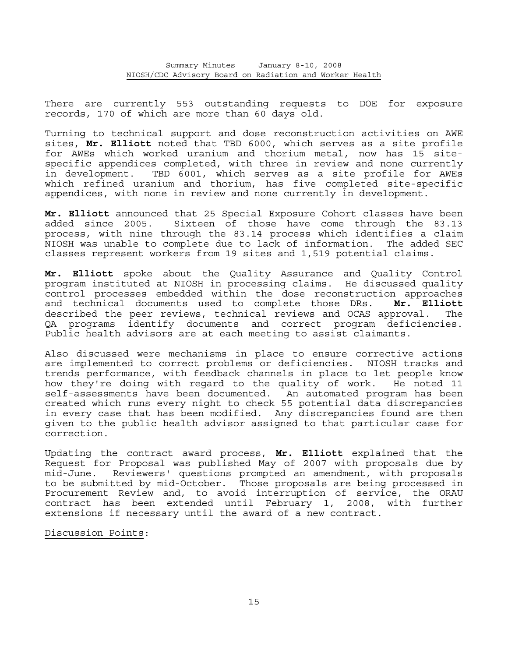There are currently 553 outstanding requests to DOE for exposure records, 170 of which are more than 60 days old.

Turning to technical support and dose reconstruction activities on AWE sites, **Mr. Elliott** noted that TBD 6000, which serves as a site profile for AWEs which worked uranium and thorium metal, now has 15 sitespecific appendices completed, with three in review and none currently in development. TBD 6001, which serves as a site profile for AWEs which refined uranium and thorium, has five completed site-specific appendices, with none in review and none currently in development.

**Mr. Elliott** announced that 25 Special Exposure Cohort classes have been added since 2005. Sixteen of those have come through the 83.13 process, with nine through the 83.14 process which identifies a claim NIOSH was unable to complete due to lack of information. The added SEC classes represent workers from 19 sites and 1,519 potential claims.

**Mr. Elliott** spoke about the Quality Assurance and Quality Control program instituted at NIOSH in processing claims. He discussed quality control processes embedded within the dose reconstruction approaches and technical documents used to complete those DRs. **Mr. Elliott** described the peer reviews, technical reviews and OCAS approval. The QA programs identify documents and correct program deficiencies. Public health advisors are at each meeting to assist claimants.

Also discussed were mechanisms in place to ensure corrective actions are implemented to correct problems or deficiencies. NIOSH tracks and trends performance, with feedback channels in place to let people know how they're doing with regard to the quality of work. He noted 11 self-assessments have been documented. An automated program has been created which runs every night to check 55 potential data discrepancies in every case that has been modified. Any discrepancies found are then given to the public health advisor assigned to that particular case for correction.

Updating the contract award process, **Mr. Elliott** explained that the Request for Proposal was published May of 2007 with proposals due by mid-June. Reviewers' questions prompted an amendment, with proposals to be submitted by mid-October. Those proposals are being processed in Procurement Review and, to avoid interruption of service, the ORAU contract has been extended until February 1, 2008, with further extensions if necessary until the award of a new contract.

Discussion Points: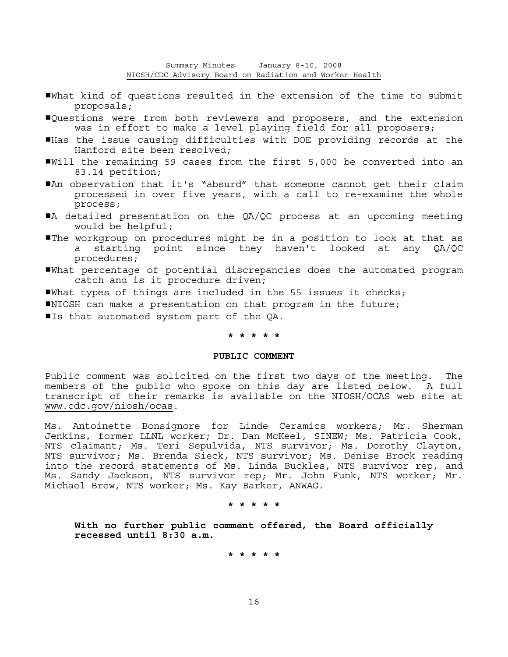- #What kind of questions resulted in the extension of the time to submit proposals;
- #Questions were from both reviewers and proposers, and the extension was in effort to make a level playing field for all proposers;
- #Has the issue causing difficulties with DOE providing records at the Hanford site been resolved;
- #Will the remaining 59 cases from the first 5,000 be converted into an 83.14 petition;
- #An observation that it's "absurd" that someone cannot get their claim processed in over five years, with a call to re-examine the whole process;
- $\blacksquare$  detailed presentation on the QA/QC process at an upcoming meeting would be helpful;
- $\blacksquare$ The workgroup on procedures might be in a position to look at that as a starting point since they haven't looked at any QA/QC procedures;
- #What percentage of potential discrepancies does the automated program catch and is it procedure driven;
- What types of things are included in the 55 issues it checks;
- $\blacksquare$ NIOSH can make a presentation on that program in the future;
- Is that automated system part of the OA.

# **\* \* \* \* \***

## **PUBLIC COMMENT**

Public comment was solicited on the first two days of the meeting. The members of the public who spoke on this day are listed below. A full transcript of their remarks is available on the NIOSH/OCAS web site at www.cdc.gov/niosh/ocas.

Ms. Antoinette Bonsignore for Linde Ceramics workers; Mr. Sherman Jenkins, former LLNL worker; Dr. Dan McKeel, SINEW; Ms. Patricia Cook, NTS claimant; Ms. Teri Sepulvida, NTS survivor; Ms. Dorothy Clayton, NTS survivor; Ms. Brenda Sieck, NTS survivor; Ms. Denise Brock reading into the record statements of Ms. Linda Buckles, NTS survivor rep, and Ms. Sandy Jackson, NTS survivor rep; Mr. John Funk, NTS worker; Mr. Michael Brew, NTS worker; Ms. Kay Barker, ANWAG.

 **\* \* \* \* \***

 **With no further public comment offered, the Board officially recessed until 8:30 a.m.**

 **\* \* \* \* \***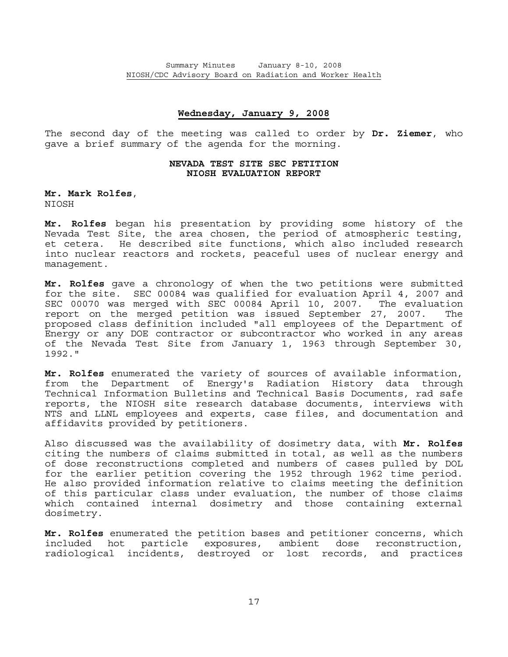## **Wednesday, January 9, 2008**

The second day of the meeting was called to order by **Dr. Ziemer**, who gave a brief summary of the agenda for the morning.

## **NEVADA TEST SITE SEC PETITION NIOSH EVALUATION REPORT**

#### **Mr. Mark Rolfes**, NIOSH

**Mr. Rolfes** began his presentation by providing some history of the Nevada Test Site, the area chosen, the period of atmospheric testing, et cetera. He described site functions, which also included research into nuclear reactors and rockets, peaceful uses of nuclear energy and management.

**Mr. Rolfes** gave a chronology of when the two petitions were submitted for the site. SEC 00084 was qualified for evaluation April 4, 2007 and SEC 00070 was merged with SEC 00084 April 10, 2007. The evaluation report on the merged petition was issued September 27, 2007. The proposed class definition included "all employees of the Department of Energy or any DOE contractor or subcontractor who worked in any areas of the Nevada Test Site from January 1, 1963 through September 30, 1992."

**Mr. Rolfes** enumerated the variety of sources of available information, from the Department of Energy's Radiation History data through Technical Information Bulletins and Technical Basis Documents, rad safe reports, the NIOSH site research database documents, interviews with NTS and LLNL employees and experts, case files, and documentation and affidavits provided by petitioners.

Also discussed was the availability of dosimetry data, with **Mr. Rolfes** citing the numbers of claims submitted in total, as well as the numbers of dose reconstructions completed and numbers of cases pulled by DOL for the earlier petition covering the 1952 through 1962 time period. He also provided information relative to claims meeting the definition of this particular class under evaluation, the number of those claims which contained internal dosimetry and those containing external dosimetry.

**Mr. Rolfes** enumerated the petition bases and petitioner concerns, which included hot particle exposures, ambient dose reconstruction, radiological incidents, destroyed or lost records, and practices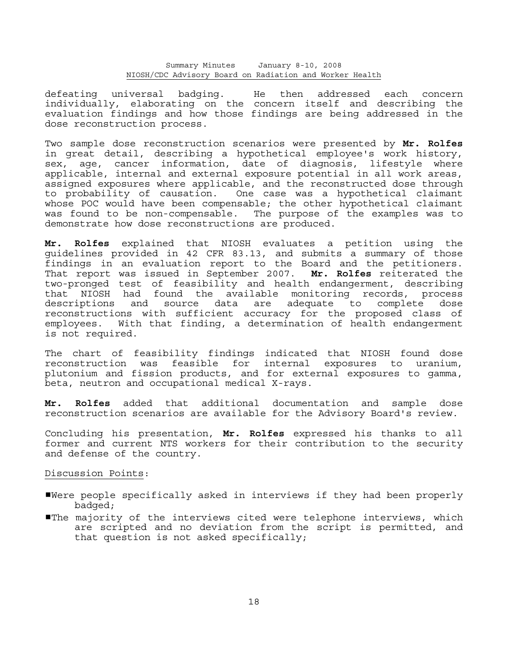defeating universal badging. He then addressed each concern individually, elaborating on the concern itself and describing the evaluation findings and how those findings are being addressed in the dose reconstruction process.

Two sample dose reconstruction scenarios were presented by **Mr. Rolfes** in great detail, describing a hypothetical employee's work history, sex, age, cancer information, date of diagnosis, lifestyle where applicable, internal and external exposure potential in all work areas, assigned exposures where applicable, and the reconstructed dose through to probability of causation. One case was a hypothetical claimant whose POC would have been compensable; the other hypothetical claimant was found to be non-compensable. The purpose of the examples was to demonstrate how dose reconstructions are produced.

**Mr. Rolfes** explained that NIOSH evaluates a petition using the guidelines provided in 42 CFR 83.13, and submits a summary of those findings in an evaluation report to the Board and the petitioners. That report was issued in September 2007. **Mr. Rolfes** reiterated the two-pronged test of feasibility and health endangerment, describing that NIOSH had found the available monitoring records, process descriptions and source data are adequate to complete dose reconstructions with sufficient accuracy for the proposed class of employees. With that finding, a determination of health endangerment is not required.

The chart of feasibility findings indicated that NIOSH found dose reconstruction was feasible for internal exposures to uranium, plutonium and fission products, and for external exposures to gamma, beta, neutron and occupational medical X-rays.

**Mr. Rolfes** added that additional documentation and sample dose reconstruction scenarios are available for the Advisory Board's review.

Concluding his presentation, **Mr. Rolfes** expressed his thanks to all former and current NTS workers for their contribution to the security and defense of the country.

## Discussion Points:

- #Were people specifically asked in interviews if they had been properly badged;
- **I** The majority of the interviews cited were telephone interviews, which are scripted and no deviation from the script is permitted, and that question is not asked specifically;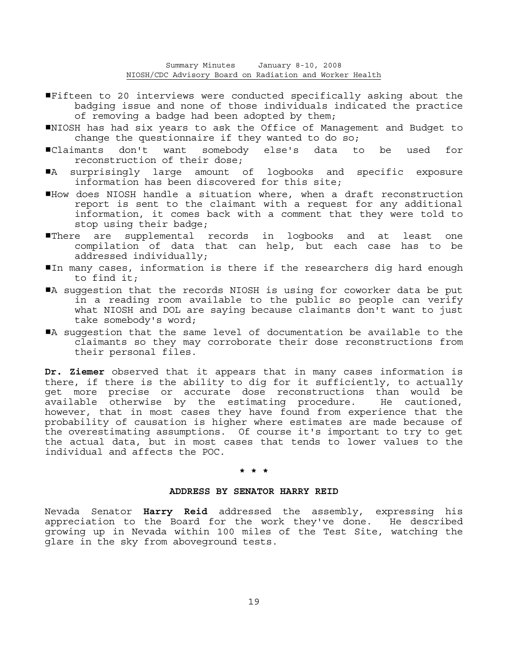- #Fifteen to 20 interviews were conducted specifically asking about the badging issue and none of those individuals indicated the practice of removing a badge had been adopted by them;
- #NIOSH has had six years to ask the Office of Management and Budget to change the questionnaire if they wanted to do so;
- #Claimants don't want somebody else's data to be used for reconstruction of their dose;
- A surprisingly large amount of logbooks and specific exposure information has been discovered for this site;
- #How does NIOSH handle a situation where, when a draft reconstruction report is sent to the claimant with a request for any additional information, it comes back with a comment that they were told to stop using their badge;
- #There are supplemental records in logbooks and at least one compilation of data that can help, but each case has to be addressed individually;
- In many cases, information is there if the researchers dig hard enough to find it;
- A suggestion that the records NIOSH is using for coworker data be put in a reading room available to the public so people can verify what NIOSH and DOL are saying because claimants don't want to just take somebody's word;
- #A suggestion that the same level of documentation be available to the claimants so they may corroborate their dose reconstructions from their personal files.

**Dr. Ziemer** observed that it appears that in many cases information is there, if there is the ability to dig for it sufficiently, to actually get more precise or accurate dose reconstructions than would be available otherwise by the estimating procedure. He cautioned, however, that in most cases they have found from experience that the probability of causation is higher where estimates are made because of the overestimating assumptions. Of course it's important to try to get the actual data, but in most cases that tends to lower values to the individual and affects the POC.

# **\* \* \***

## **ADDRESS BY SENATOR HARRY REID**

Nevada Senator **Harry Reid** addressed the assembly, expressing his appreciation to the Board for the work they've done. He described growing up in Nevada within 100 miles of the Test Site, watching the glare in the sky from aboveground tests.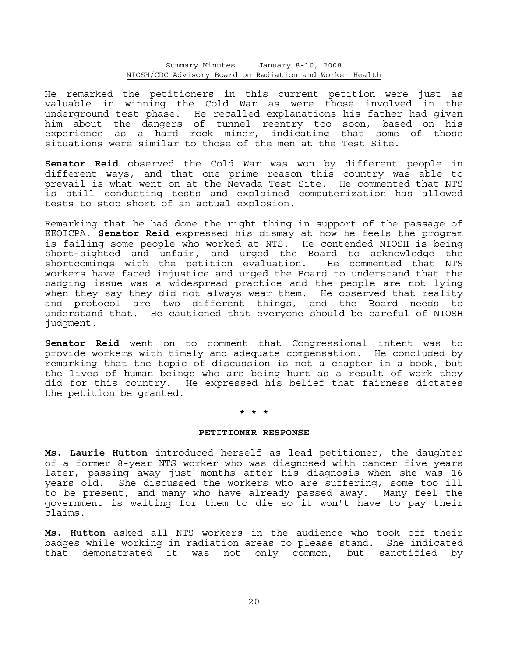He remarked the petitioners in this current petition were just as valuable in winning the Cold War as were those involved in the underground test phase. He recalled explanations his father had given him about the dangers of tunnel reentry too soon, based on his experience as a hard rock miner, indicating that some of those situations were similar to those of the men at the Test Site.

**Senator Reid** observed the Cold War was won by different people in different ways, and that one prime reason this country was able to prevail is what went on at the Nevada Test Site. He commented that NTS is still conducting tests and explained computerization has allowed tests to stop short of an actual explosion.

Remarking that he had done the right thing in support of the passage of EEOICPA, **Senator Reid** expressed his dismay at how he feels the program is failing some people who worked at NTS. He contended NIOSH is being short-sighted and unfair, and urged the Board to acknowledge the shortcomings with the petition evaluation. He commented that NTS workers have faced injustice and urged the Board to understand that the badging issue was a widespread practice and the people are not lying when they say they did not always wear them. He observed that reality and protocol are two different things, and the Board needs to understand that. He cautioned that everyone should be careful of NIOSH judgment.

**Senator Reid** went on to comment that Congressional intent was to provide workers with timely and adequate compensation. He concluded by remarking that the topic of discussion is not a chapter in a book, but the lives of human beings who are being hurt as a result of work they did for this country. He expressed his belief that fairness dictates the petition be granted.

 **\* \* \***

#### **PETITIONER RESPONSE**

**Ms. Laurie Hutton** introduced herself as lead petitioner, the daughter of a former 8-year NTS worker who was diagnosed with cancer five years later, passing away just months after his diagnosis when she was 16 years old. She discussed the workers who are suffering, some too ill to be present, and many who have already passed away. Many feel the government is waiting for them to die so it won't have to pay their claims.

**Ms. Hutton** asked all NTS workers in the audience who took off their badges while working in radiation areas to please stand. She indicated that demonstrated it was not only common, but sanctified by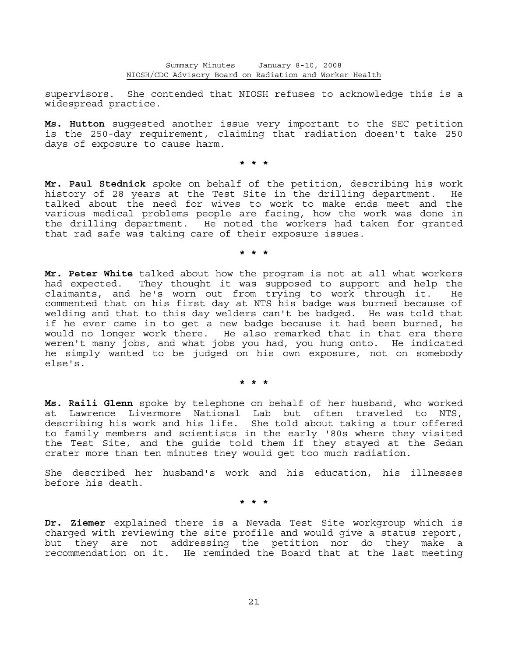supervisors. She contended that NIOSH refuses to acknowledge this is a widespread practice.

**Ms. Hutton** suggested another issue very important to the SEC petition is the 250-day requirement, claiming that radiation doesn't take 250 days of exposure to cause harm.

# **\* \* \***

**Mr. Paul Stednick** spoke on behalf of the petition, describing his work history of 28 years at the Test Site in the drilling department. He talked about the need for wives to work to make ends meet and the various medical problems people are facing, how the work was done in the drilling department. He noted the workers had taken for granted that rad safe was taking care of their exposure issues.

# **\* \* \***

**Mr. Peter White** talked about how the program is not at all what workers had expected. They thought it was supposed to support and help the claimants, and he's worn out from trying to work through it. He commented that on his first day at NTS his badge was burned because of welding and that to this day welders can't be badged. He was told that if he ever came in to get a new badge because it had been burned, he would no longer work there. He also remarked that in that era there weren't many jobs, and what jobs you had, you hung onto. He indicated he simply wanted to be judged on his own exposure, not on somebody else's.

 **\* \* \***

**Ms. Raili Glenn** spoke by telephone on behalf of her husband, who worked at Lawrence Livermore National Lab but often traveled to NTS, describing his work and his life. She told about taking a tour offered to family members and scientists in the early '80s where they visited the Test Site, and the guide told them if they stayed at the Sedan crater more than ten minutes they would get too much radiation.

She described her husband's work and his education, his illnesses before his death.

 **\* \* \***

**Dr. Ziemer** explained there is a Nevada Test Site workgroup which is charged with reviewing the site profile and would give a status report, but they are not addressing the petition nor do they make a recommendation on it. He reminded the Board that at the last meeting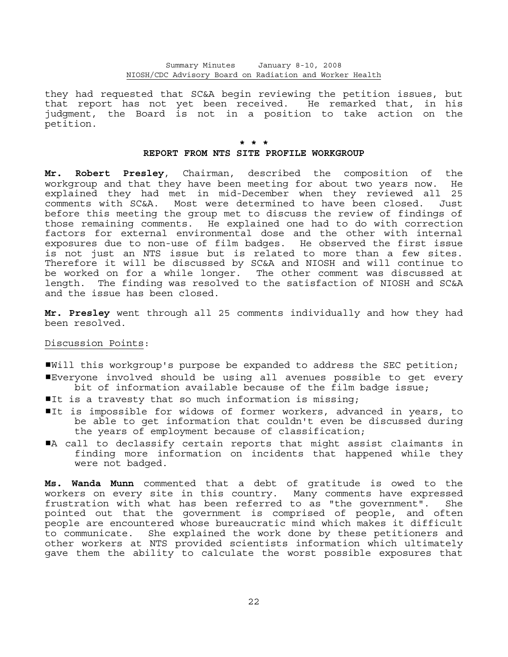they had requested that SC&A begin reviewing the petition issues, but that report has not yet been received. He remarked that, in his judgment, the Board is not in a position to take action on the petition.

# **\* \* \***

### **REPORT FROM NTS SITE PROFILE WORKGROUP**

**Mr. Robert Presley**, Chairman, described the composition of the workgroup and that they have been meeting for about two years now. He explained they had met in mid-December when they reviewed all 25 comments with SC&A. Most were determined to have been closed. Just before this meeting the group met to discuss the review of findings of those remaining comments. He explained one had to do with correction factors for external environmental dose and the other with internal exposures due to non-use of film badges. He observed the first issue is not just an NTS issue but is related to more than a few sites. Therefore it will be discussed by SC&A and NIOSH and will continue to be worked on for a while longer. The other comment was discussed at length. The finding was resolved to the satisfaction of NIOSH and SC&A and the issue has been closed.

**Mr. Presley** went through all 25 comments individually and how they had been resolved.

### Discussion Points:

 $\blacksquare$ Will this workgroup's purpose be expanded to address the SEC petition; #Everyone involved should be using all avenues possible to get every bit of information available because of the film badge issue;

- It is a travesty that so much information is missing;
- It is impossible for widows of former workers, advanced in years, to be able to get information that couldn't even be discussed during the years of employment because of classification;
- A call to declassify certain reports that might assist claimants in finding more information on incidents that happened while they were not badged.

**Ms. Wanda Munn** commented that a debt of gratitude is owed to the workers on every site in this country. Many comments have expressed frustration with what has been referred to as "the government". She pointed out that the government is comprised of people, and often people are encountered whose bureaucratic mind which makes it difficult to communicate. She explained the work done by these petitioners and other workers at NTS provided scientists information which ultimately gave them the ability to calculate the worst possible exposures that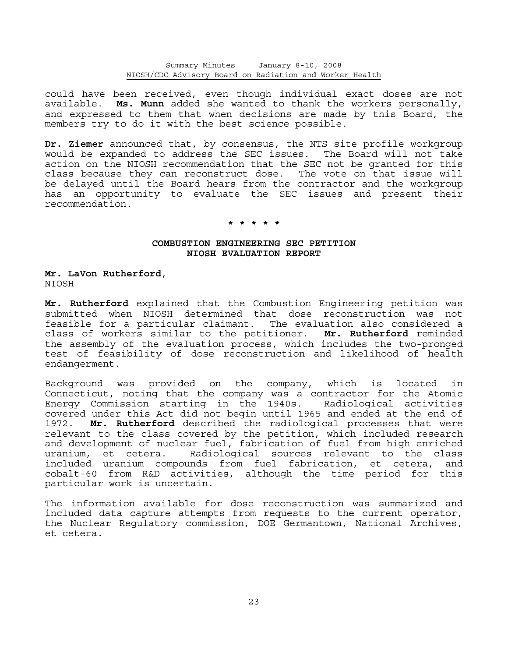could have been received, even though individual exact doses are not available. **Ms. Munn** added she wanted to thank the workers personally, and expressed to them that when decisions are made by this Board, the members try to do it with the best science possible.

**Dr. Ziemer** announced that, by consensus, the NTS site profile workgroup would be expanded to address the SEC issues. The Board will not take action on the NIOSH recommendation that the SEC not be granted for this class because they can reconstruct dose. The vote on that issue will be delayed until the Board hears from the contractor and the workgroup has an opportunity to evaluate the SEC issues and present their recommendation.

# **\* \* \* \* \***

## **COMBUSTION ENGINEERING SEC PETITION NIOSH EVALUATION REPORT**

**Mr. LaVon Rutherford**, NIOSH

**Mr. Rutherford** explained that the Combustion Engineering petition was submitted when NIOSH determined that dose reconstruction was not feasible for a particular claimant. The evaluation also considered a class of workers similar to the petitioner. **Mr. Rutherford** reminded the assembly of the evaluation process, which includes the two-pronged test of feasibility of dose reconstruction and likelihood of health endangerment.

Background was provided on the company, which is located in Connecticut, noting that the company was a contractor for the Atomic Energy Commission starting in the 1940s. Radiological activities covered under this Act did not begin until 1965 and ended at the end of 1972. **Mr. Rutherford** described the radiological processes that were relevant to the class covered by the petition, which included research and development of nuclear fuel, fabrication of fuel from high enriched uranium, et cetera. Radiological sources relevant to the class included uranium compounds from fuel fabrication, et cetera, and cobalt-60 from R&D activities, although the time period for this particular work is uncertain.

The information available for dose reconstruction was summarized and included data capture attempts from requests to the current operator, the Nuclear Regulatory commission, DOE Germantown, National Archives, et cetera.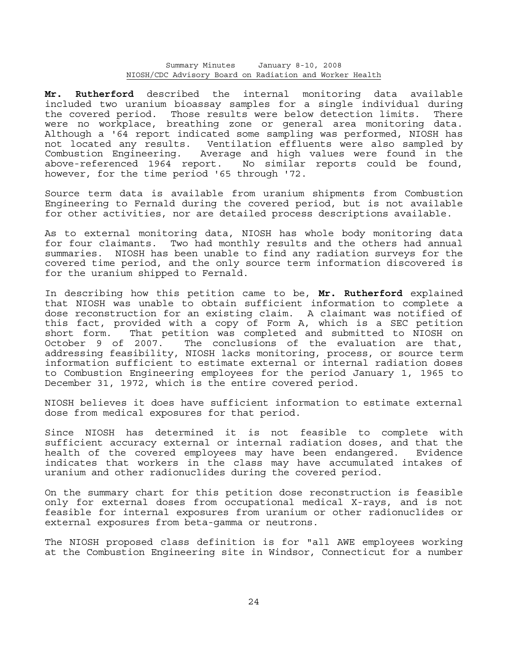**Mr. Rutherford** described the internal monitoring data available included two uranium bioassay samples for a single individual during the covered period. Those results were below detection limits. There were no workplace, breathing zone or general area monitoring data. Although a '64 report indicated some sampling was performed, NIOSH has not located any results. Ventilation effluents were also sampled by Combustion Engineering. Average and high values were found in the above-referenced 1964 report. No similar reports could be found, however, for the time period '65 through '72.

Source term data is available from uranium shipments from Combustion Engineering to Fernald during the covered period, but is not available for other activities, nor are detailed process descriptions available.

As to external monitoring data, NIOSH has whole body monitoring data for four claimants. Two had monthly results and the others had annual summaries. NIOSH has been unable to find any radiation surveys for the covered time period, and the only source term information discovered is for the uranium shipped to Fernald.

In describing how this petition came to be, **Mr. Rutherford** explained that NIOSH was unable to obtain sufficient information to complete a dose reconstruction for an existing claim. A claimant was notified of this fact, provided with a copy of Form A, which is a SEC petition short form. That petition was completed and submitted to NIOSH on October 9 of 2007. The conclusions of the evaluation are that, addressing feasibility, NIOSH lacks monitoring, process, or source term information sufficient to estimate external or internal radiation doses to Combustion Engineering employees for the period January 1, 1965 to December 31, 1972, which is the entire covered period.

NIOSH believes it does have sufficient information to estimate external dose from medical exposures for that period.

Since NIOSH has determined it is not feasible to complete with sufficient accuracy external or internal radiation doses, and that the health of the covered employees may have been endangered. Evidence indicates that workers in the class may have accumulated intakes of uranium and other radionuclides during the covered period.

On the summary chart for this petition dose reconstruction is feasible only for external doses from occupational medical X-rays, and is not feasible for internal exposures from uranium or other radionuclides or external exposures from beta-gamma or neutrons.

The NIOSH proposed class definition is for "all AWE employees working at the Combustion Engineering site in Windsor, Connecticut for a number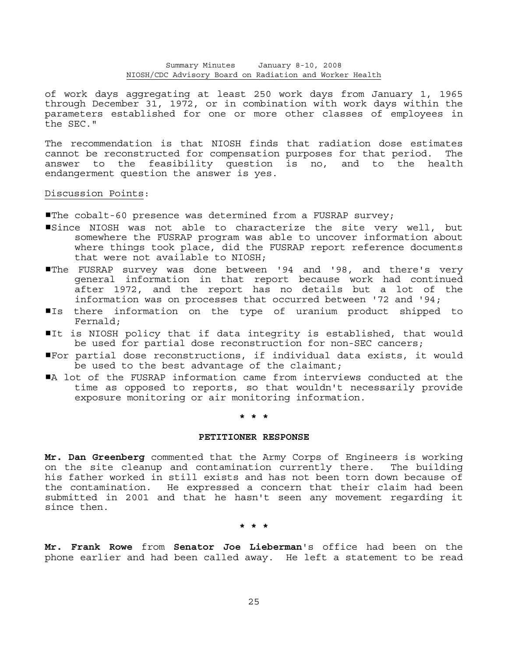of work days aggregating at least 250 work days from January 1, 1965 through December 31, 1972, or in combination with work days within the parameters established for one or more other classes of employees in the SEC."

The recommendation is that NIOSH finds that radiation dose estimates cannot be reconstructed for compensation purposes for that period. The answer to the feasibility question is no, and to the health endangerment question the answer is yes.

Discussion Points:

The cobalt-60 presence was determined from a FUSRAP survey;

- Since NIOSH was not able to characterize the site very well, but somewhere the FUSRAP program was able to uncover information about where things took place, did the FUSRAP report reference documents that were not available to NIOSH;
- **The FUSRAP survey was done between '94 and '98, and there's very** general information in that report because work had continued after 1972, and the report has no details but a lot of the information was on processes that occurred between '72 and '94;
- Is there information on the type of uranium product shipped to Fernald;
- It is NIOSH policy that if data integrity is established, that would be used for partial dose reconstruction for non-SEC cancers;
- #For partial dose reconstructions, if individual data exists, it would be used to the best advantage of the claimant;
- A lot of the FUSRAP information came from interviews conducted at the time as opposed to reports, so that wouldn't necessarily provide exposure monitoring or air monitoring information.

# **\* \* \***

#### **PETITIONER RESPONSE**

**Mr. Dan Greenberg** commented that the Army Corps of Engineers is working on the site cleanup and contamination currently there. The building his father worked in still exists and has not been torn down because of the contamination. He expressed a concern that their claim had been submitted in 2001 and that he hasn't seen any movement regarding it since then.

 **\* \* \*** 

**Mr. Frank Rowe** from **Senator Joe Lieberman**'s office had been on the phone earlier and had been called away. He left a statement to be read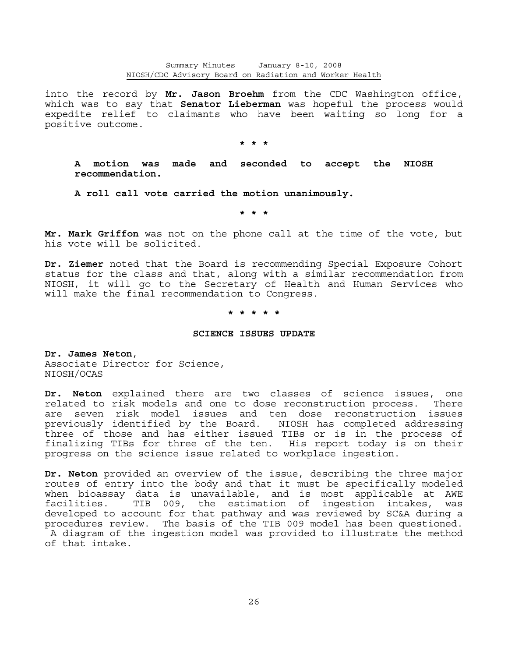into the record by **Mr. Jason Broehm** from the CDC Washington office, which was to say that **Senator Lieberman** was hopeful the process would expedite relief to claimants who have been waiting so long for a positive outcome.

 **\* \* \***

 **A motion was made and seconded to accept the NIOSH recommendation.** 

 **A roll call vote carried the motion unanimously.**

 **\* \* \***

**Mr. Mark Griffon** was not on the phone call at the time of the vote, but his vote will be solicited.

**Dr. Ziemer** noted that the Board is recommending Special Exposure Cohort status for the class and that, along with a similar recommendation from NIOSH, it will go to the Secretary of Health and Human Services who will make the final recommendation to Congress.

 **\* \* \* \* \***

#### **SCIENCE ISSUES UPDATE**

**Dr. James Neton**, Associate Director for Science, NIOSH/OCAS

**Dr. Neton** explained there are two classes of science issues, one related to risk models and one to dose reconstruction process. There are seven risk model issues and ten dose reconstruction issues previously identified by the Board. NIOSH has completed addressing three of those and has either issued TIBs or is in the process of finalizing TIBs for three of the ten. His report today is on their progress on the science issue related to workplace ingestion.

**Dr. Neton** provided an overview of the issue, describing the three major routes of entry into the body and that it must be specifically modeled when bioassay data is unavailable, and is most applicable at AWE facilities. TIB 009, the estimation of ingestion intakes, was developed to account for that pathway and was reviewed by SC&A during a procedures review. The basis of the TIB 009 model has been questioned. A diagram of the ingestion model was provided to illustrate the method of that intake.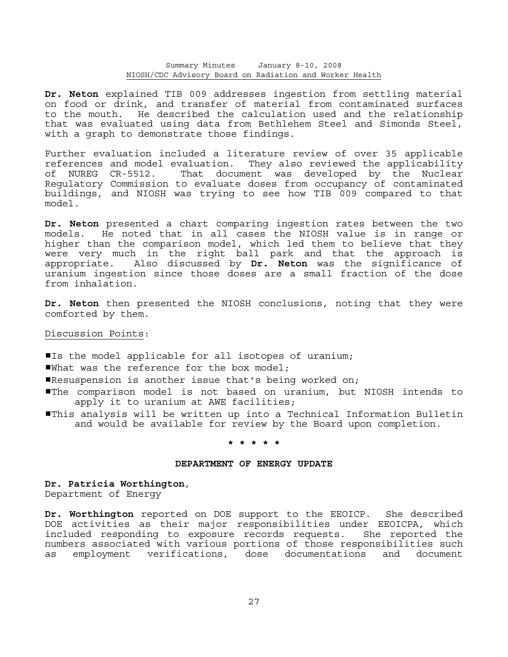**Dr. Neton** explained TIB 009 addresses ingestion from settling material on food or drink, and transfer of material from contaminated surfaces to the mouth. He described the calculation used and the relationship that was evaluated using data from Bethlehem Steel and Simonds Steel, with a graph to demonstrate those findings.

Further evaluation included a literature review of over 35 applicable references and model evaluation. They also reviewed the applicability of NUREG CR-5512. That document was developed by the Nuclear Regulatory Commission to evaluate doses from occupancy of contaminated buildings, and NIOSH was trying to see how TIB 009 compared to that model.

**Dr. Neton** presented a chart comparing ingestion rates between the two models. He noted that in all cases the NIOSH value is in range or higher than the comparison model, which led them to believe that they were very much in the right ball park and that the approach is appropriate. Also discussed by **Dr. Neton** was the significance of uranium ingestion since those doses are a small fraction of the dose from inhalation.

**Dr. Neton** then presented the NIOSH conclusions, noting that they were comforted by them.

## Discussion Points:

Is the model applicable for all isotopes of uranium;

What was the reference for the box model;

- **Example Resuspension is another issue that's being worked on;**
- #The comparison model is not based on uranium, but NIOSH intends to apply it to uranium at AWE facilities;
- #This analysis will be written up into a Technical Information Bulletin and would be available for review by the Board upon completion.

 **\* \* \* \* \***

## **DEPARTMENT OF ENERGY UPDATE**

**Dr. Patricia Worthington**, Department of Energy

**Dr. Worthington** reported on DOE support to the EEOICP. She described DOE activities as their major responsibilities under EEOICPA, which included responding to exposure records requests. She reported the numbers associated with various portions of those responsibilities such as employment verifications, dose documentations and document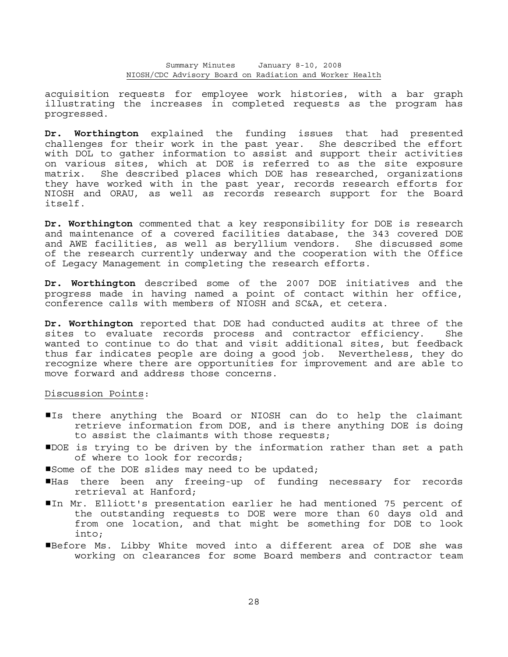acquisition requests for employee work histories, with a bar graph illustrating the increases in completed requests as the program has progressed.

**Dr. Worthington** explained the funding issues that had presented challenges for their work in the past year. She described the effort with DOL to gather information to assist and support their activities on various sites, which at DOE is referred to as the site exposure matrix. She described places which DOE has researched, organizations they have worked with in the past year, records research efforts for NIOSH and ORAU, as well as records research support for the Board itself.

**Dr. Worthington** commented that a key responsibility for DOE is research and maintenance of a covered facilities database, the 343 covered DOE and AWE facilities, as well as beryllium vendors. She discussed some of the research currently underway and the cooperation with the Office of Legacy Management in completing the research efforts.

**Dr. Worthington** described some of the 2007 DOE initiatives and the progress made in having named a point of contact within her office, conference calls with members of NIOSH and SC&A, et cetera.

**Dr. Worthington** reported that DOE had conducted audits at three of the sites to evaluate records process and contractor efficiency. She wanted to continue to do that and visit additional sites, but feedback thus far indicates people are doing a good job. Nevertheless, they do recognize where there are opportunities for improvement and are able to move forward and address those concerns.

## Discussion Points:

- #Is there anything the Board or NIOSH can do to help the claimant retrieve information from DOE, and is there anything DOE is doing to assist the claimants with those requests;
- #DOE is trying to be driven by the information rather than set a path of where to look for records;
- Some of the DOE slides may need to be updated;
- #Has there been any freeing-up of funding necessary for records retrieval at Hanford;
- #In Mr. Elliott's presentation earlier he had mentioned 75 percent of the outstanding requests to DOE were more than 60 days old and from one location, and that might be something for DOE to look into;
- #Before Ms. Libby White moved into a different area of DOE she was working on clearances for some Board members and contractor team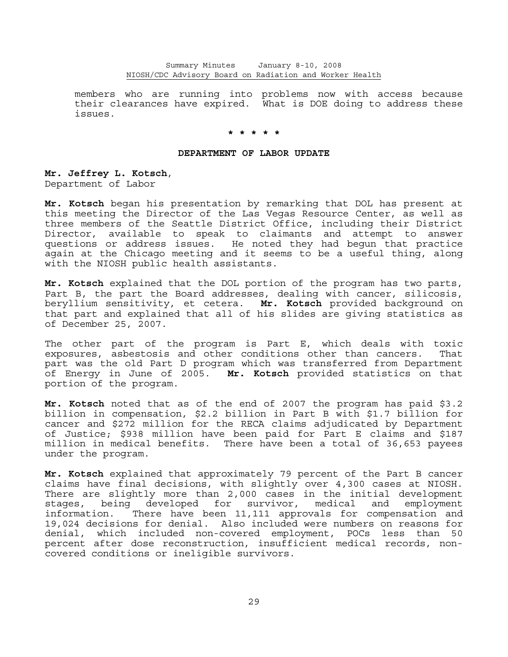members who are running into problems now with access because their clearances have expired. What is DOE doing to address these issues.

# **\* \* \* \* \***

### **DEPARTMENT OF LABOR UPDATE**

**Mr. Jeffrey L. Kotsch**, Department of Labor

**Mr. Kotsch** began his presentation by remarking that DOL has present at this meeting the Director of the Las Vegas Resource Center, as well as three members of the Seattle District Office, including their District Director, available to speak to claimants and attempt to answer questions or address issues. He noted they had begun that practice again at the Chicago meeting and it seems to be a useful thing, along with the NIOSH public health assistants.

**Mr. Kotsch** explained that the DOL portion of the program has two parts, Part B, the part the Board addresses, dealing with cancer, silicosis, beryllium sensitivity, et cetera. **Mr. Kotsch** provided background on that part and explained that all of his slides are giving statistics as of December 25, 2007.

The other part of the program is Part E, which deals with toxic exposures, asbestosis and other conditions other than cancers. That part was the old Part D program which was transferred from Department of Energy in June of 2005. **Mr. Kotsch** provided statistics on that portion of the program.

**Mr. Kotsch** noted that as of the end of 2007 the program has paid \$3.2 billion in compensation, \$2.2 billion in Part B with \$1.7 billion for cancer and \$272 million for the RECA claims adjudicated by Department of Justice; \$938 million have been paid for Part E claims and \$187 million in medical benefits. There have been a total of 36,653 payees under the program.

**Mr. Kotsch** explained that approximately 79 percent of the Part B cancer claims have final decisions, with slightly over 4,300 cases at NIOSH. There are slightly more than 2,000 cases in the initial development stages, being developed for survivor, medical and employment information. There have been 11,111 approvals for compensation and 19,024 decisions for denial. Also included were numbers on reasons for denial, which included non-covered employment, POCs less than 50 percent after dose reconstruction, insufficient medical records, noncovered conditions or ineligible survivors.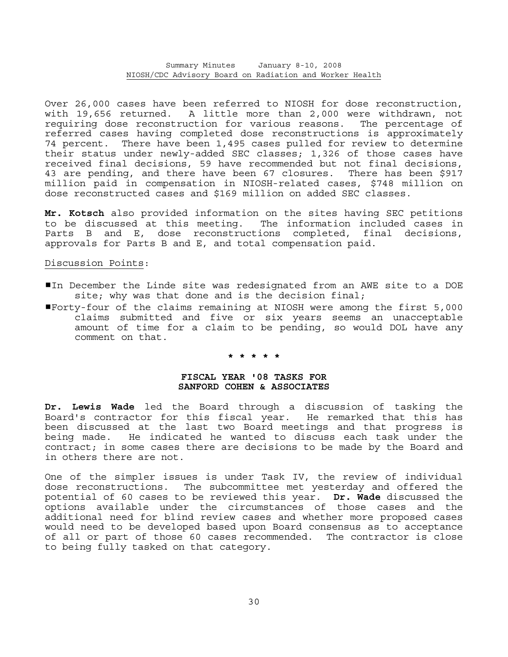Over 26,000 cases have been referred to NIOSH for dose reconstruction, with 19,656 returned. A little more than 2,000 were withdrawn, not requiring dose reconstruction for various reasons. The percentage of referred cases having completed dose reconstructions is approximately 74 percent. There have been 1,495 cases pulled for review to determine their status under newly-added SEC classes; 1,326 of those cases have received final decisions, 59 have recommended but not final decisions, 43 are pending, and there have been 67 closures. There has been \$917 million paid in compensation in NIOSH-related cases, \$748 million on dose reconstructed cases and \$169 million on added SEC classes.

**Mr. Kotsch** also provided information on the sites having SEC petitions to be discussed at this meeting. The information included cases in Parts B and E, dose reconstructions completed, final decisions, approvals for Parts B and E, and total compensation paid.

## Discussion Points:

- #In December the Linde site was redesignated from an AWE site to a DOE site; why was that done and is the decision final;
- #Forty-four of the claims remaining at NIOSH were among the first 5,000 claims submitted and five or six years seems an unacceptable amount of time for a claim to be pending, so would DOL have any comment on that.

#### **\* \* \* \* \***

## **FISCAL YEAR '08 TASKS FOR SANFORD COHEN & ASSOCIATES**

**Dr. Lewis Wade** led the Board through a discussion of tasking the Board's contractor for this fiscal year. He remarked that this has been discussed at the last two Board meetings and that progress is being made. He indicated he wanted to discuss each task under the contract; in some cases there are decisions to be made by the Board and in others there are not.

One of the simpler issues is under Task IV, the review of individual dose reconstructions. The subcommittee met yesterday and offered the potential of 60 cases to be reviewed this year. **Dr. Wade** discussed the options available under the circumstances of those cases and the additional need for blind review cases and whether more proposed cases would need to be developed based upon Board consensus as to acceptance of all or part of those 60 cases recommended. The contractor is close to being fully tasked on that category.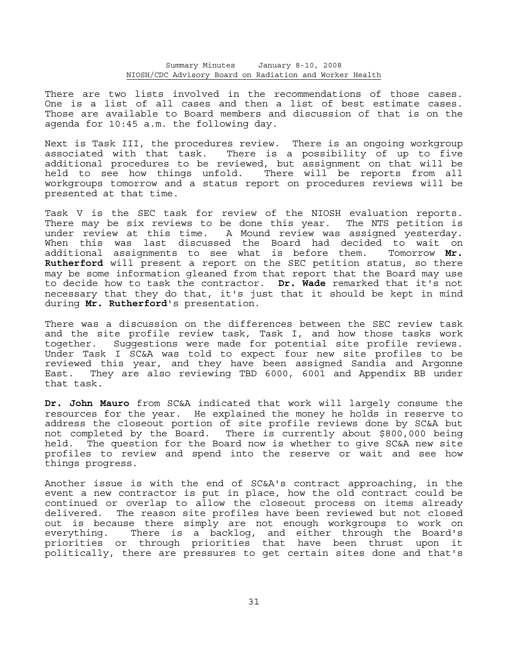There are two lists involved in the recommendations of those cases. One is a list of all cases and then a list of best estimate cases. Those are available to Board members and discussion of that is on the agenda for 10:45 a.m. the following day.

Next is Task III, the procedures review. There is an ongoing workgroup<br>associated with that task. There is a possibility of up to five There is a possibility of up to five additional procedures to be reviewed, but assignment on that will be held to see how things unfold. There will be reports from all workgroups tomorrow and a status report on procedures reviews will be presented at that time.

Task V is the SEC task for review of the NIOSH evaluation reports. There may be six reviews to be done this year. The NTS petition is under review at this time. A Mound review was assigned yesterday. When this was last discussed the Board had decided to wait on additional assignments to see what is before them. Tomorrow **Mr. Rutherford** will present a report on the SEC petition status, so there may be some information gleaned from that report that the Board may use to decide how to task the contractor. **Dr. Wade** remarked that it's not necessary that they do that, it's just that it should be kept in mind during **Mr. Rutherford**'s presentation.

There was a discussion on the differences between the SEC review task and the site profile review task, Task I, and how those tasks work together. Suggestions were made for potential site profile reviews. Under Task I SC&A was told to expect four new site profiles to be reviewed this year, and they have been assigned Sandia and Argonne East. They are also reviewing TBD 6000, 6001 and Appendix BB under that task.

**Dr. John Mauro** from SC&A indicated that work will largely consume the resources for the year. He explained the money he holds in reserve to address the closeout portion of site profile reviews done by SC&A but not completed by the Board. There is currently about \$800,000 being held. The question for the Board now is whether to give SC&A new site profiles to review and spend into the reserve or wait and see how things progress.

Another issue is with the end of SC&A's contract approaching, in the event a new contractor is put in place, how the old contract could be continued or overlap to allow the closeout process on items already delivered. The reason site profiles have been reviewed but not closed out is because there simply are not enough workgroups to work on everything. There is a backlog, and either through the Board's priorities or through priorities that have been thrust upon it politically, there are pressures to get certain sites done and that's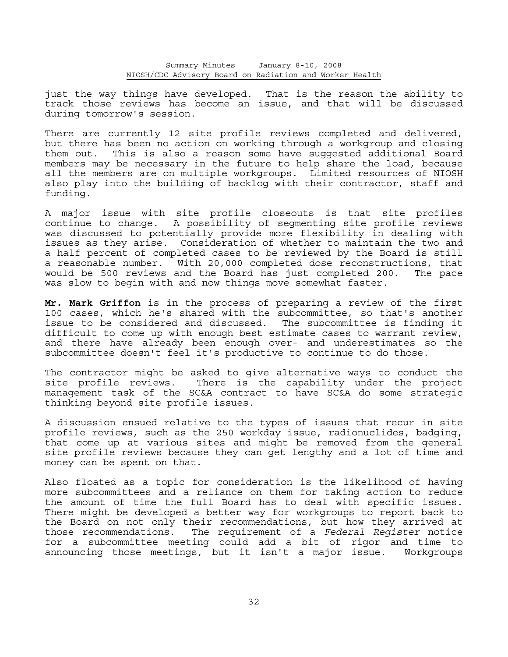just the way things have developed. That is the reason the ability to track those reviews has become an issue, and that will be discussed during tomorrow's session.

There are currently 12 site profile reviews completed and delivered, but there has been no action on working through a workgroup and closing them out. This is also a reason some have suggested additional Board members may be necessary in the future to help share the load, because all the members are on multiple workgroups. Limited resources of NIOSH also play into the building of backlog with their contractor, staff and funding.

A major issue with site profile closeouts is that site profiles continue to change. A possibility of segmenting site profile reviews was discussed to potentially provide more flexibility in dealing with issues as they arise. Consideration of whether to maintain the two and a half percent of completed cases to be reviewed by the Board is still a reasonable number. With 20,000 completed dose reconstructions, that would be 500 reviews and the Board has just completed 200. The pace was slow to begin with and now things move somewhat faster.

**Mr. Mark Griffon** is in the process of preparing a review of the first 100 cases, which he's shared with the subcommittee, so that's another issue to be considered and discussed. The subcommittee is finding it difficult to come up with enough best estimate cases to warrant review, and there have already been enough over- and underestimates so the subcommittee doesn't feel it's productive to continue to do those.

The contractor might be asked to give alternative ways to conduct the site profile reviews. There is the capability under the project management task of the SC&A contract to have SC&A do some strategic thinking beyond site profile issues.

A discussion ensued relative to the types of issues that recur in site profile reviews, such as the 250 workday issue, radionuclides, badging, that come up at various sites and might be removed from the general site profile reviews because they can get lengthy and a lot of time and money can be spent on that.

Also floated as a topic for consideration is the likelihood of having more subcommittees and a reliance on them for taking action to reduce the amount of time the full Board has to deal with specific issues. There might be developed a better way for workgroups to report back to the Board on not only their recommendations, but how they arrived at those recommendations. The requirement of a *Federal Register* notice for a subcommittee meeting could add a bit of rigor and time to announcing those meetings, but it isn't a major issue. Workgroups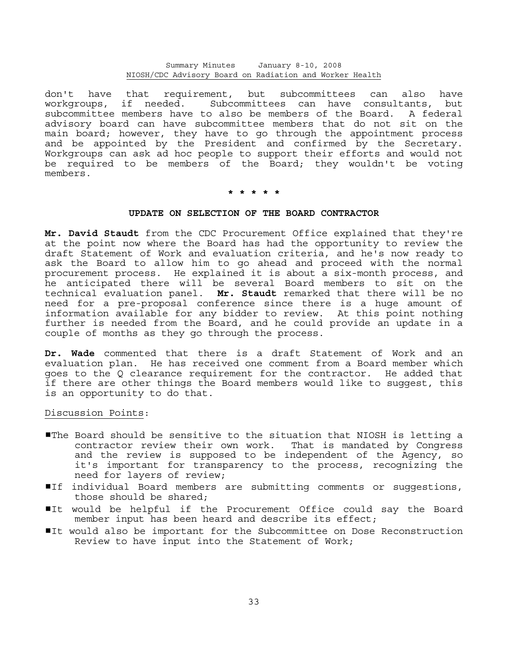don't have that requirement, but subcommittees can also have workgroups, if needed. Subcommittees can have consultants, but subcommittee members have to also be members of the Board. A federal advisory board can have subcommittee members that do not sit on the main board; however, they have to go through the appointment process and be appointed by the President and confirmed by the Secretary. Workgroups can ask ad hoc people to support their efforts and would not be required to be members of the Board; they wouldn't be voting members.

# **\* \* \* \* \***

#### **UPDATE ON SELECTION OF THE BOARD CONTRACTOR**

**Mr. David Staudt** from the CDC Procurement Office explained that they're at the point now where the Board has had the opportunity to review the draft Statement of Work and evaluation criteria, and he's now ready to ask the Board to allow him to go ahead and proceed with the normal procurement process. He explained it is about a six-month process, and he anticipated there will be several Board members to sit on the technical evaluation panel. **Mr. Staudt** remarked that there will be no need for a pre-proposal conference since there is a huge amount of information available for any bidder to review. At this point nothing further is needed from the Board, and he could provide an update in a couple of months as they go through the process.

**Dr. Wade** commented that there is a draft Statement of Work and an evaluation plan. He has received one comment from a Board member which goes to the Q clearance requirement for the contractor. He added that if there are other things the Board members would like to suggest, this is an opportunity to do that.

Discussion Points:

- $\P$ The Board should be sensitive to the situation that NIOSH is letting a contractor review their own work. That is mandated by Congress and the review is supposed to be independent of the Agency, so it's important for transparency to the process, recognizing the need for layers of review;
- If individual Board members are submitting comments or suggestions, those should be shared;
- It would be helpful if the Procurement Office could say the Board member input has been heard and describe its effect;
- **It would also be important for the Subcommittee on Dose Reconstruction** Review to have input into the Statement of Work;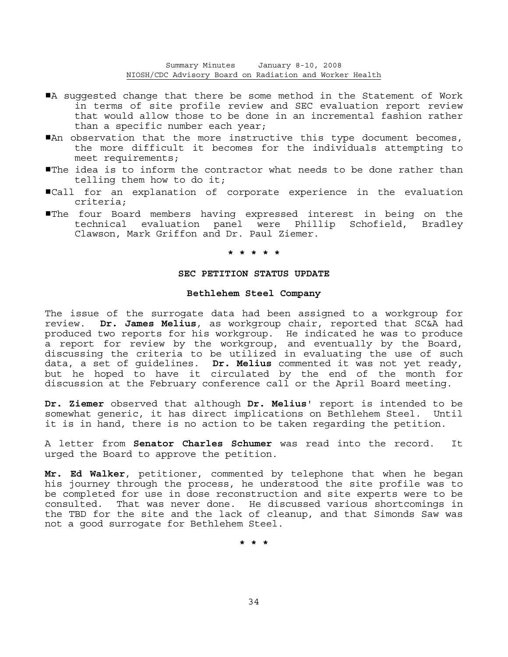- A suggested change that there be some method in the Statement of Work in terms of site profile review and SEC evaluation report review that would allow those to be done in an incremental fashion rather than a specific number each year;
- An observation that the more instructive this type document becomes, the more difficult it becomes for the individuals attempting to meet requirements;
- $\P$ The idea is to inform the contractor what needs to be done rather than telling them how to do it;
- #Call for an explanation of corporate experience in the evaluation criteria;
- #The four Board members having expressed interest in being on the technical evaluation panel were Phillip Schofield, Bradley Clawson, Mark Griffon and Dr. Paul Ziemer.

## **\* \* \* \* \***

## **SEC PETITION STATUS UPDATE**

#### **Bethlehem Steel Company**

The issue of the surrogate data had been assigned to a workgroup for review. **Dr. James Melius**, as workgroup chair, reported that SC&A had produced two reports for his workgroup. He indicated he was to produce a report for review by the workgroup, and eventually by the Board, discussing the criteria to be utilized in evaluating the use of such data, a set of guidelines. **Dr. Melius** commented it was not yet ready, but he hoped to have it circulated by the end of the month for discussion at the February conference call or the April Board meeting.

**Dr. Ziemer** observed that although **Dr. Melius**' report is intended to be somewhat generic, it has direct implications on Bethlehem Steel. Until it is in hand, there is no action to be taken regarding the petition.

A letter from **Senator Charles Schumer** was read into the record. It urged the Board to approve the petition.

**Mr. Ed Walker**, petitioner, commented by telephone that when he began his journey through the process, he understood the site profile was to be completed for use in dose reconstruction and site experts were to be consulted. That was never done. He discussed various shortcomings in the TBD for the site and the lack of cleanup, and that Simonds Saw was not a good surrogate for Bethlehem Steel.

 **\* \* \***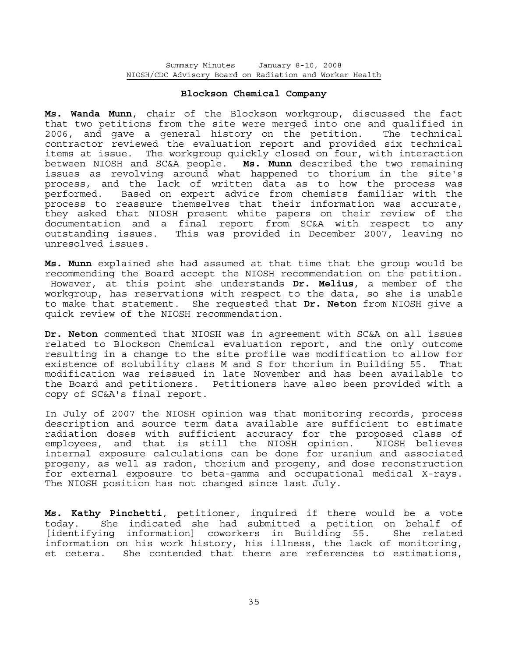### **Blockson Chemical Company**

**Ms. Wanda Munn**, chair of the Blockson workgroup, discussed the fact that two petitions from the site were merged into one and qualified in 2006, and gave a general history on the petition. The technical contractor reviewed the evaluation report and provided six technical items at issue. The workgroup quickly closed on four, with interaction between NIOSH and SC&A people. **Ms. Munn** described the two remaining issues as revolving around what happened to thorium in the site's process, and the lack of written data as to how the process was performed. Based on expert advice from chemists familiar with the process to reassure themselves that their information was accurate, they asked that NIOSH present white papers on their review of the documentation and a final report from SC&A with respect to any outstanding issues. This was provided in December 2007, leaving no unresolved issues.

**Ms. Munn** explained she had assumed at that time that the group would be recommending the Board accept the NIOSH recommendation on the petition. However, at this point she understands **Dr. Melius**, a member of the workgroup, has reservations with respect to the data, so she is unable to make that statement. She requested that **Dr. Neton** from NIOSH give a quick review of the NIOSH recommendation.

**Dr. Neton** commented that NIOSH was in agreement with SC&A on all issues related to Blockson Chemical evaluation report, and the only outcome resulting in a change to the site profile was modification to allow for existence of solubility class M and S for thorium in Building 55. That modification was reissued in late November and has been available to the Board and petitioners. Petitioners have also been provided with a copy of SC&A's final report.

In July of 2007 the NIOSH opinion was that monitoring records, process description and source term data available are sufficient to estimate radiation doses with sufficient accuracy for the proposed class of employees, and that is still the NIOSH opinion. NIOSH believes internal exposure calculations can be done for uranium and associated progeny, as well as radon, thorium and progeny, and dose reconstruction for external exposure to beta-gamma and occupational medical X-rays. The NIOSH position has not changed since last July.

**Ms. Kathy Pinchetti**, petitioner, inquired if there would be a vote today. She indicated she had submitted a petition on behalf of [identifying information] coworkers in Building 55. She related information on his work history, his illness, the lack of monitoring, et cetera. She contended that there are references to estimations,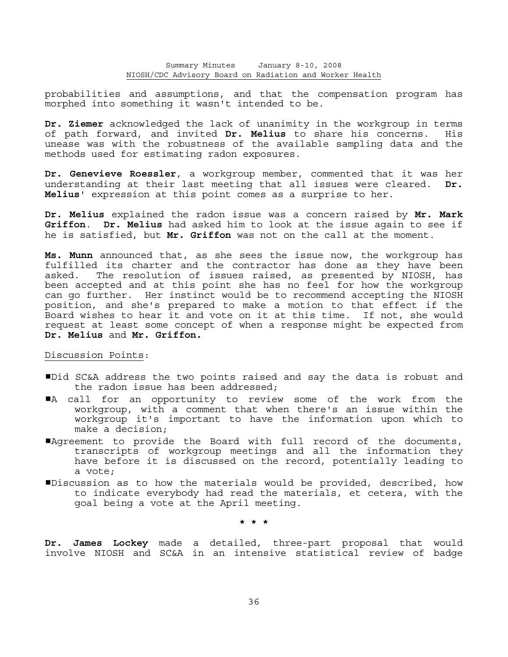probabilities and assumptions, and that the compensation program has morphed into something it wasn't intended to be.

**Dr. Ziemer** acknowledged the lack of unanimity in the workgroup in terms of path forward, and invited **Dr. Melius** to share his concerns. His unease was with the robustness of the available sampling data and the methods used for estimating radon exposures.

**Dr. Genevieve Roessler**, a workgroup member, commented that it was her understanding at their last meeting that all issues were cleared. **Dr. Melius**' expression at this point comes as a surprise to her.

**Dr. Melius** explained the radon issue was a concern raised by **Mr. Mark Griffon**. **Dr. Melius** had asked him to look at the issue again to see if he is satisfied, but **Mr. Griffon** was not on the call at the moment.

**Ms. Munn** announced that, as she sees the issue now, the workgroup has fulfilled its charter and the contractor has done as they have been asked. The resolution of issues raised, as presented by NIOSH, has been accepted and at this point she has no feel for how the workgroup can go further. Her instinct would be to recommend accepting the NIOSH position, and she's prepared to make a motion to that effect if the Board wishes to hear it and vote on it at this time. If not, she would request at least some concept of when a response might be expected from **Dr. Melius** and **Mr. Griffon.**

## Discussion Points:

- #Did SC&A address the two points raised and say the data is robust and the radon issue has been addressed;
- A call for an opportunity to review some of the work from the workgroup, with a comment that when there's an issue within the workgroup it's important to have the information upon which to make a decision;
- Agreement to provide the Board with full record of the documents, transcripts of workgroup meetings and all the information they have before it is discussed on the record, potentially leading to a vote;
- #Discussion as to how the materials would be provided, described, how to indicate everybody had read the materials, et cetera, with the goal being a vote at the April meeting.

 **\* \* \***

**Dr. James Lockey** made a detailed, three-part proposal that would involve NIOSH and SC&A in an intensive statistical review of badge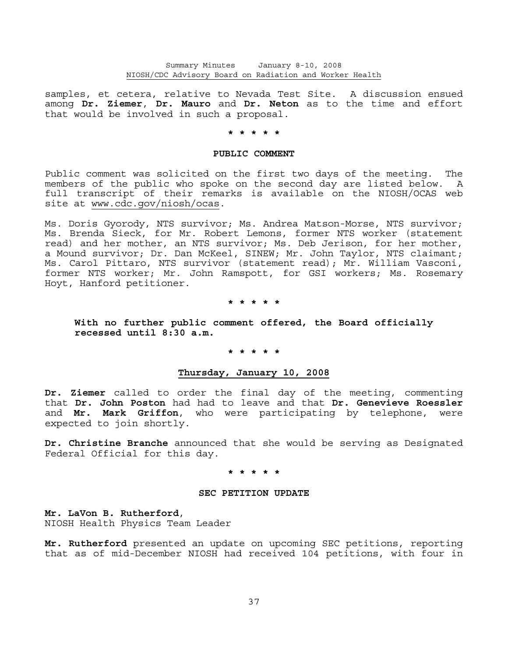samples, et cetera, relative to Nevada Test Site. A discussion ensued among **Dr. Ziemer**, **Dr. Mauro** and **Dr. Neton** as to the time and effort that would be involved in such a proposal.

### **\* \* \* \* \***

### **PUBLIC COMMENT**

Public comment was solicited on the first two days of the meeting. The members of the public who spoke on the second day are listed below. A full transcript of their remarks is available on the NIOSH/OCAS web site at www.cdc.gov/niosh/ocas.

Ms. Doris Gyorody, NTS survivor; Ms. Andrea Matson-Morse, NTS survivor; Ms. Brenda Sieck, for Mr. Robert Lemons, former NTS worker (statement read) and her mother, an NTS survivor; Ms. Deb Jerison, for her mother, a Mound survivor; Dr. Dan McKeel, SINEW; Mr. John Taylor, NTS claimant; Ms. Carol Pittaro, NTS survivor (statement read); Mr. William Vasconi, former NTS worker; Mr. John Ramspott, for GSI workers; Ms. Rosemary Hoyt, Hanford petitioner.

 **\* \* \* \* \***

 **With no further public comment offered, the Board officially recessed until 8:30 a.m.**

### **\* \* \* \* \***

## **Thursday, January 10, 2008**

**Dr. Ziemer** called to order the final day of the meeting, commenting that **Dr. John Poston** had had to leave and that **Dr. Genevieve Roessler** and **Mr. Mark Griffon**, who were participating by telephone, were expected to join shortly.

**Dr. Christine Branche** announced that she would be serving as Designated Federal Official for this day.

### **\* \* \* \* \***

### **SEC PETITION UPDATE**

**Mr. LaVon B. Rutherford**, NIOSH Health Physics Team Leader

**Mr. Rutherford** presented an update on upcoming SEC petitions, reporting that as of mid-December NIOSH had received 104 petitions, with four in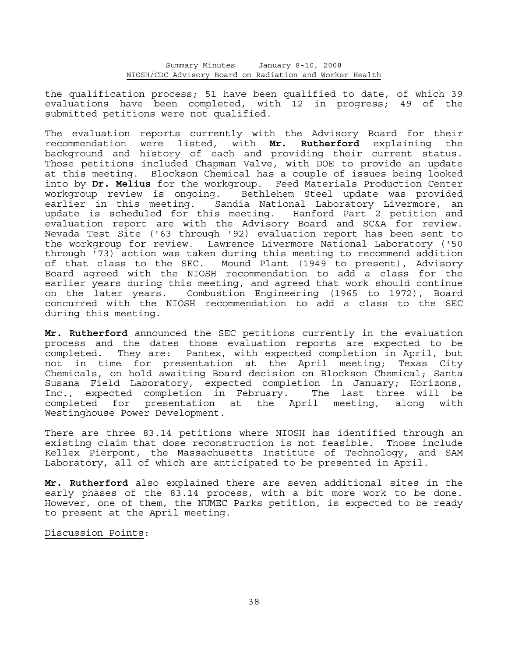the qualification process; 51 have been qualified to date, of which 39 evaluations have been completed, with 12 in progress; 49 of the submitted petitions were not qualified.

The evaluation reports currently with the Advisory Board for their recommendation were listed, with **Mr. Rutherford** explaining the background and history of each and providing their current status. Those petitions included Chapman Valve, with DOE to provide an update at this meeting. Blockson Chemical has a couple of issues being looked into by **Dr. Melius** for the workgroup. Feed Materials Production Center workgroup review is ongoing. Bethlehem Steel update was provided earlier in this meeting. Sandia National Laboratory Livermore, an update is scheduled for this meeting. Hanford Part 2 petition and evaluation report are with the Advisory Board and SC&A for review. Nevada Test Site ('63 through '92) evaluation report has been sent to the workgroup for review. Lawrence Livermore National Laboratory ('50 through '73) action was taken during this meeting to recommend addition of that class to the SEC. Mound Plant (1949 to present), Advisory Board agreed with the NIOSH recommendation to add a class for the earlier years during this meeting, and agreed that work should continue on the later years. Combustion Engineering (1965 to 1972), Board concurred with the NIOSH recommendation to add a class to the SEC during this meeting.

**Mr. Rutherford** announced the SEC petitions currently in the evaluation process and the dates those evaluation reports are expected to be completed. They are: Pantex, with expected completion in April, but not in time for presentation at the April meeting; Texas City Chemicals, on hold awaiting Board decision on Blockson Chemical; Santa Susana Field Laboratory, expected completion in January; Horizons, Inc., expected completion in February. The last three will be completed for presentation at the April meeting, along with Westinghouse Power Development.

There are three 83.14 petitions where NIOSH has identified through an existing claim that dose reconstruction is not feasible. Those include Kellex Pierpont, the Massachusetts Institute of Technology, and SAM Laboratory, all of which are anticipated to be presented in April.

**Mr. Rutherford** also explained there are seven additional sites in the early phases of the 83.14 process, with a bit more work to be done. However, one of them, the NUMEC Parks petition, is expected to be ready to present at the April meeting.

Discussion Points: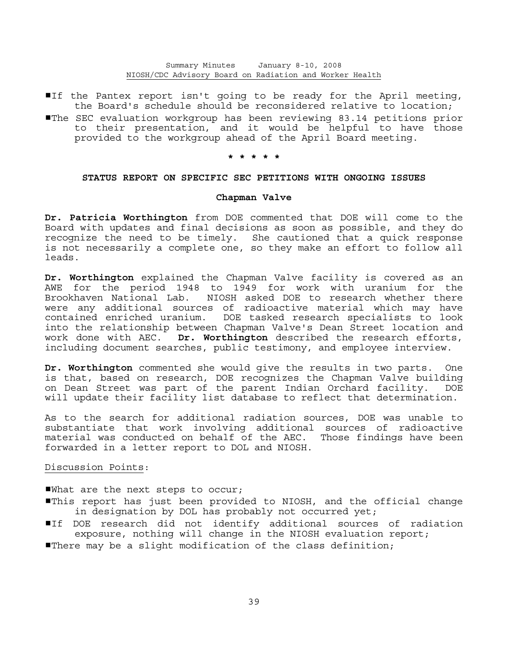- If the Pantex report isn't going to be ready for the April meeting, the Board's schedule should be reconsidered relative to location;
- #The SEC evaluation workgroup has been reviewing 83.14 petitions prior to their presentation, and it would be helpful to have those provided to the workgroup ahead of the April Board meeting.

#### **\* \* \* \* \***

#### **STATUS REPORT ON SPECIFIC SEC PETITIONS WITH ONGOING ISSUES**

### **Chapman Valve**

**Dr. Patricia Worthington** from DOE commented that DOE will come to the Board with updates and final decisions as soon as possible, and they do recognize the need to be timely. She cautioned that a quick response is not necessarily a complete one, so they make an effort to follow all leads.

**Dr. Worthington** explained the Chapman Valve facility is covered as an AWE for the period 1948 to 1949 for work with uranium for the Brookhaven National Lab. NIOSH asked DOE to research whether there were any additional sources of radioactive material which may have contained enriched uranium. DOE tasked research specialists to look into the relationship between Chapman Valve's Dean Street location and work done with AEC. **Dr. Worthington** described the research efforts, including document searches, public testimony, and employee interview.

**Dr. Worthington** commented she would give the results in two parts. One is that, based on research, DOE recognizes the Chapman Valve building on Dean Street was part of the parent Indian Orchard facility. DOE will update their facility list database to reflect that determination.

As to the search for additional radiation sources, DOE was unable to substantiate that work involving additional sources of radioactive material was conducted on behalf of the AEC. Those findings have been forwarded in a letter report to DOL and NIOSH.

#### Discussion Points:

What are the next steps to occur;

- #This report has just been provided to NIOSH, and the official change in designation by DOL has probably not occurred yet;
- If DOE research did not identify additional sources of radiation exposure, nothing will change in the NIOSH evaluation report;
- **There may be a slight modification of the class definition;**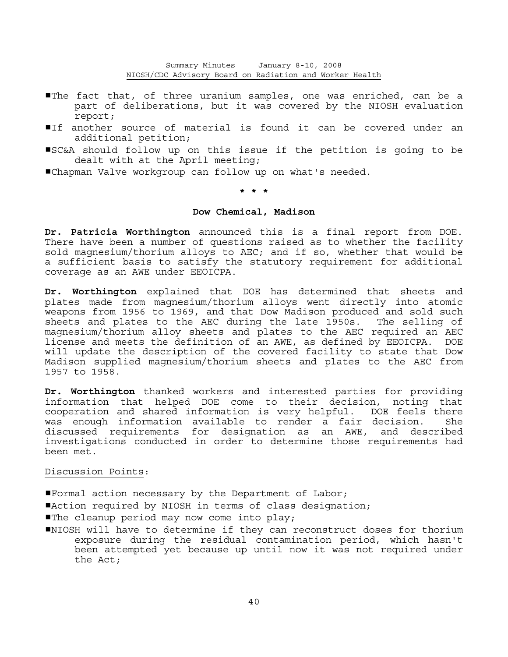- The fact that, of three uranium samples, one was enriched, can be a part of deliberations, but it was covered by the NIOSH evaluation report;
- If another source of material is found it can be covered under an additional petition;
- #SC&A should follow up on this issue if the petition is going to be dealt with at the April meeting;

#Chapman Valve workgroup can follow up on what's needed.

# **\* \* \***

## **Dow Chemical, Madison**

**Dr. Patricia Worthington** announced this is a final report from DOE. There have been a number of questions raised as to whether the facility sold magnesium/thorium alloys to AEC; and if so, whether that would be a sufficient basis to satisfy the statutory requirement for additional coverage as an AWE under EEOICPA.

**Dr. Worthington** explained that DOE has determined that sheets and plates made from magnesium/thorium alloys went directly into atomic weapons from 1956 to 1969, and that Dow Madison produced and sold such sheets and plates to the AEC during the late 1950s. The selling of magnesium/thorium alloy sheets and plates to the AEC required an AEC license and meets the definition of an AWE, as defined by EEOICPA. DOE will update the description of the covered facility to state that Dow Madison supplied magnesium/thorium sheets and plates to the AEC from 1957 to 1958.

**Dr. Worthington** thanked workers and interested parties for providing information that helped DOE come to their decision, noting that cooperation and shared information is very helpful. DOE feels there was enough information available to render a fair decision. She discussed requirements for designation as an AWE, and described investigations conducted in order to determine those requirements had been met.

## Discussion Points:

- **IFormal action necessary by the Department of Labor;**
- **Action required by NIOSH in terms of class designation;**
- The cleanup period may now come into play;
- #NIOSH will have to determine if they can reconstruct doses for thorium exposure during the residual contamination period, which hasn't been attempted yet because up until now it was not required under the Act;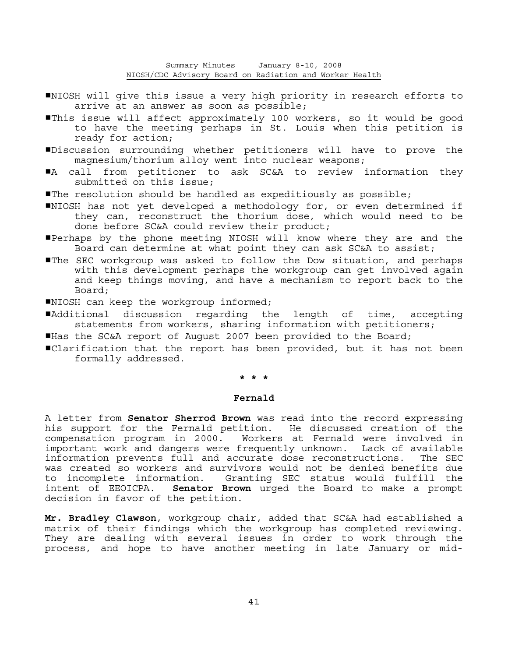- #NIOSH will give this issue a very high priority in research efforts to arrive at an answer as soon as possible;
- #This issue will affect approximately 100 workers, so it would be good to have the meeting perhaps in St. Louis when this petition is ready for action;
- #Discussion surrounding whether petitioners will have to prove the magnesium/thorium alloy went into nuclear weapons;
- A call from petitioner to ask SC&A to review information they submitted on this issue;
- $\blacksquare$ The resolution should be handled as expeditiously as possible;
- #NIOSH has not yet developed a methodology for, or even determined if they can, reconstruct the thorium dose, which would need to be done before SC&A could review their product;
- #Perhaps by the phone meeting NIOSH will know where they are and the Board can determine at what point they can ask SC&A to assist;
- The SEC workgroup was asked to follow the Dow situation, and perhaps with this development perhaps the workgroup can get involved again and keep things moving, and have a mechanism to report back to the Board;
- **INIOSH** can keep the workgroup informed;
- #Additional discussion regarding the length of time, accepting statements from workers, sharing information with petitioners;
- Has the SC&A report of August 2007 been provided to the Board;
- #Clarification that the report has been provided, but it has not been formally addressed.

 **\* \* \***

## **Fernald**

A letter from **Senator Sherrod Brown** was read into the record expressing his support for the Fernald petition. He discussed creation of the compensation program in 2000. Workers at Fernald were involved in important work and dangers were frequently unknown. Lack of available information prevents full and accurate dose reconstructions. The SEC was created so workers and survivors would not be denied benefits due to incomplete information. Granting SEC status would fulfill the intent of EEOICPA. **Senator Brown** urged the Board to make a prompt decision in favor of the petition.

**Mr. Bradley Clawson**, workgroup chair, added that SC&A had established a matrix of their findings which the workgroup has completed reviewing. They are dealing with several issues in order to work through the process, and hope to have another meeting in late January or mid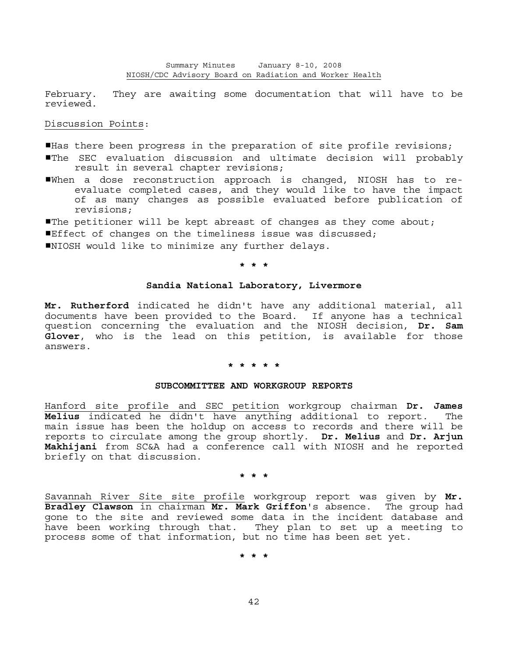February. They are awaiting some documentation that will have to be reviewed.

## Discussion Points:

 $H$ as there been progress in the preparation of site profile revisions;

- #The SEC evaluation discussion and ultimate decision will probably result in several chapter revisions;
- #When a dose reconstruction approach is changed, NIOSH has to reevaluate completed cases, and they would like to have the impact of as many changes as possible evaluated before publication of revisions;
- **The petitioner will be kept abreast of changes as they come about;**
- Effect of changes on the timeliness issue was discussed;
- #NIOSH would like to minimize any further delays.

 **\* \* \***

## **Sandia National Laboratory, Livermore**

**Mr. Rutherford** indicated he didn't have any additional material, all documents have been provided to the Board. If anyone has a technical question concerning the evaluation and the NIOSH decision, **Dr. Sam Glover**, who is the lead on this petition, is available for those answers.

# **\* \* \* \* \***

## **SUBCOMMITTEE AND WORKGROUP REPORTS**

Hanford site profile and SEC petition workgroup chairman **Dr. James Melius** indicated he didn't have anything additional to report. The main issue has been the holdup on access to records and there will be reports to circulate among the group shortly. **Dr. Melius** and **Dr. Arjun Makhijani** from SC&A had a conference call with NIOSH and he reported briefly on that discussion.

# **\* \* \***

Savannah River Site site profile workgroup report was given by **Mr. Bradley Clawson** in chairman **Mr. Mark Griffon**'s absence. The group had gone to the site and reviewed some data in the incident database and have been working through that. They plan to set up a meeting to process some of that information, but no time has been set yet.

 **\* \* \***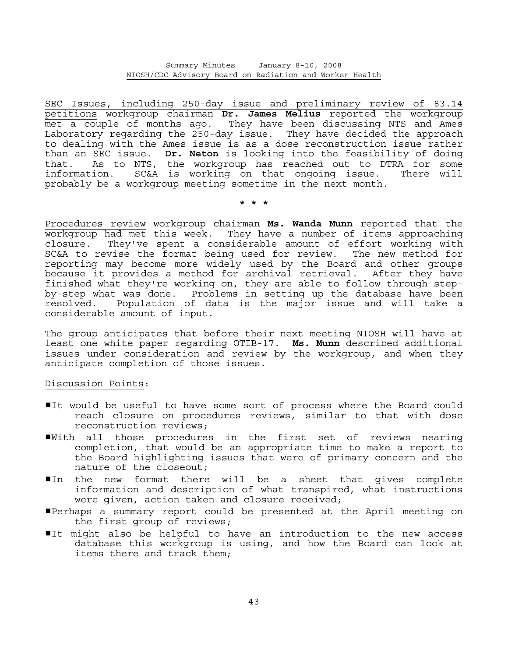SEC Issues, including 250-day issue and preliminary review of 83.14 petitions workgroup chairman **Dr. James Melius** reported the workgroup met a couple of months ago. They have been discussing NTS and Ames Laboratory regarding the 250-day issue. They have decided the approach to dealing with the Ames issue is as a dose reconstruction issue rather than an SEC issue. **Dr. Neton** is looking into the feasibility of doing that. As to NTS, the workgroup has reached out to DTRA for some information. SC&A is working on that ongoing issue. There will probably be a workgroup meeting sometime in the next month.

 **\* \* \***

Procedures review workgroup chairman **Ms. Wanda Munn** reported that the workgroup had met this week. They have a number of items approaching closure. They've spent a considerable amount of effort working with SC&A to revise the format being used for review. The new method for reporting may become more widely used by the Board and other groups because it provides a method for archival retrieval. After they have finished what they're working on, they are able to follow through stepby-step what was done. Problems in setting up the database have been resolved. Population of data is the major issue and will take a considerable amount of input.

The group anticipates that before their next meeting NIOSH will have at least one white paper regarding OTIB-17. **Ms. Munn** described additional issues under consideration and review by the workgroup, and when they anticipate completion of those issues.

## Discussion Points:

- It would be useful to have some sort of process where the Board could reach closure on procedures reviews, similar to that with dose reconstruction reviews;
- #With all those procedures in the first set of reviews nearing completion, that would be an appropriate time to make a report to the Board highlighting issues that were of primary concern and the nature of the closeout;
- $\blacksquare$ In the new format there will be a sheet that gives complete information and description of what transpired, what instructions were given, action taken and closure received;
- #Perhaps a summary report could be presented at the April meeting on the first group of reviews;
- It might also be helpful to have an introduction to the new access database this workgroup is using, and how the Board can look at items there and track them;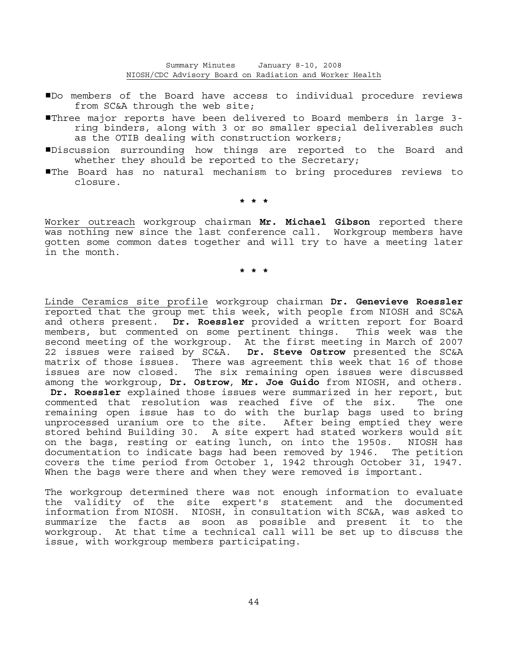- #Do members of the Board have access to individual procedure reviews from SC&A through the web site;
- #Three major reports have been delivered to Board members in large 3 ring binders, along with 3 or so smaller special deliverables such as the OTIB dealing with construction workers;
- #Discussion surrounding how things are reported to the Board and whether they should be reported to the Secretary;
- #The Board has no natural mechanism to bring procedures reviews to closure.

 **\* \* \***

Worker outreach workgroup chairman **Mr. Michael Gibson** reported there was nothing new since the last conference call. Workgroup members have gotten some common dates together and will try to have a meeting later in the month.

 **\* \* \***

Linde Ceramics site profile workgroup chairman **Dr. Genevieve Roessler** reported that the group met this week, with people from NIOSH and SC&A and others present. **Dr. Roessler** provided a written report for Board members, but commented on some pertinent things. This week was the second meeting of the workgroup. At the first meeting in March of 2007 22 issues were raised by SC&A. **Dr. Steve Ostrow** presented the SC&A matrix of those issues. There was agreement this week that 16 of those issues are now closed. The six remaining open issues were discussed among the workgroup, **Dr. Ostrow**, **Mr. Joe Guido** from NIOSH, and others. **Dr. Roessler** explained those issues were summarized in her report, but commented that resolution was reached five of the six. The one remaining open issue has to do with the burlap bags used to bring unprocessed uranium ore to the site. After being emptied they were stored behind Building 30. A site expert had stated workers would sit on the bags, resting or eating lunch, on into the 1950s. NIOSH has documentation to indicate bags had been removed by 1946. The petition covers the time period from October 1, 1942 through October 31, 1947. When the bags were there and when they were removed is important.

The workgroup determined there was not enough information to evaluate the validity of the site expert's statement and the documented information from NIOSH. NIOSH, in consultation with SC&A, was asked to summarize the facts as soon as possible and present it to the workgroup. At that time a technical call will be set up to discuss the issue, with workgroup members participating.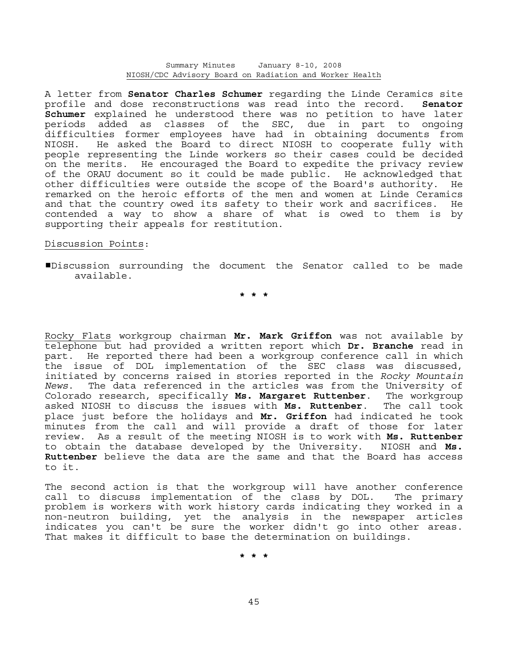A letter from **Senator Charles Schumer** regarding the Linde Ceramics site profile and dose reconstructions was read into the record. **Senator Schumer** explained he understood there was no petition to have later periods added as classes of the SEC, due in part to ongoing difficulties former employees have had in obtaining documents from NIOSH. He asked the Board to direct NIOSH to cooperate fully with people representing the Linde workers so their cases could be decided on the merits. He encouraged the Board to expedite the privacy review of the ORAU document so it could be made public. He acknowledged that other difficulties were outside the scope of the Board's authority. He remarked on the heroic efforts of the men and women at Linde Ceramics and that the country owed its safety to their work and sacrifices. He contended a way to show a share of what is owed to them is by supporting their appeals for restitution.

## Discussion Points:

#Discussion surrounding the document the Senator called to be made available.

 **\* \* \*** 

Rocky Flats workgroup chairman **Mr. Mark Griffon** was not available by telephone but had provided a written report which **Dr. Branche** read in part. He reported there had been a workgroup conference call in which the issue of DOL implementation of the SEC class was discussed, initiated by concerns raised in stories reported in the *Rocky Mountain News*. The data referenced in the articles was from the University of Colorado research, specifically **Ms. Margaret Ruttenber**. The workgroup asked NIOSH to discuss the issues with **Ms. Ruttenber**. The call took place just before the holidays and **Mr. Griffon** had indicated he took minutes from the call and will provide a draft of those for later review. As a result of the meeting NIOSH is to work with **Ms. Ruttenber** to obtain the database developed by the University. NIOSH and **Ms. Ruttenber** believe the data are the same and that the Board has access to it.

The second action is that the workgroup will have another conference call to discuss implementation of the class by DOL. The primary problem is workers with work history cards indicating they worked in a non-neutron building, yet the analysis in the newspaper articles indicates you can't be sure the worker didn't go into other areas. That makes it difficult to base the determination on buildings.

 **\* \* \***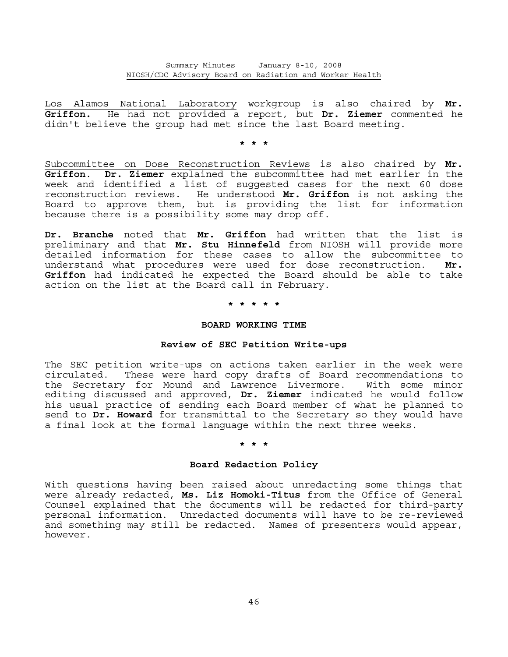Los Alamos National Laboratory workgroup is also chaired by **Mr. Griffon.** He had not provided a report, but **Dr. Ziemer** commented he didn't believe the group had met since the last Board meeting.

 **\* \* \***

Subcommittee on Dose Reconstruction Reviews is also chaired by **Mr. Griffon**. **Dr. Ziemer** explained the subcommittee had met earlier in the week and identified a list of suggested cases for the next 60 dose reconstruction reviews. He understood **Mr. Griffon** is not asking the Board to approve them, but is providing the list for information because there is a possibility some may drop off.

**Dr. Branche** noted that **Mr. Griffon** had written that the list is preliminary and that **Mr. Stu Hinnefeld** from NIOSH will provide more detailed information for these cases to allow the subcommittee to understand what procedures were used for dose reconstruction. **Mr. Griffon** had indicated he expected the Board should be able to take action on the list at the Board call in February.

 **\* \* \* \* \***

## **BOARD WORKING TIME**

#### **Review of SEC Petition Write-ups**

The SEC petition write-ups on actions taken earlier in the week were circulated. These were hard copy drafts of Board recommendations to the Secretary for Mound and Lawrence Livermore. With some minor editing discussed and approved, **Dr. Ziemer** indicated he would follow his usual practice of sending each Board member of what he planned to send to **Dr. Howard** for transmittal to the Secretary so they would have a final look at the formal language within the next three weeks.

# **\* \* \***

## **Board Redaction Policy**

With questions having been raised about unredacting some things that were already redacted, **Ms. Liz Homoki-Titus** from the Office of General Counsel explained that the documents will be redacted for third-party personal information. Unredacted documents will have to be re-reviewed and something may still be redacted. Names of presenters would appear, however.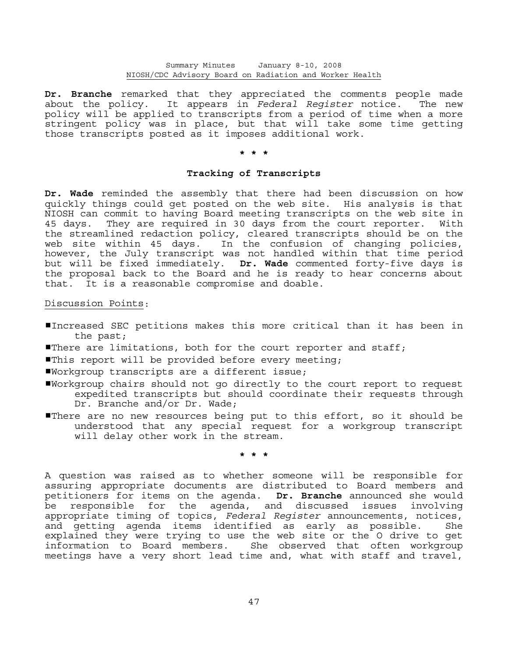**Dr. Branche** remarked that they appreciated the comments people made about the policy. It appears in *Federal Register* notice. The new policy will be applied to transcripts from a period of time when a more stringent policy was in place, but that will take some time getting those transcripts posted as it imposes additional work.

# **\* \* \***

## **Tracking of Transcripts**

**Dr. Wade** reminded the assembly that there had been discussion on how quickly things could get posted on the web site. His analysis is that NIOSH can commit to having Board meeting transcripts on the web site in 45 days. They are required in 30 days from the court reporter. With the streamlined redaction policy, cleared transcripts should be on the web site within 45 days. In the confusion of changing policies, however, the July transcript was not handled within that time period but will be fixed immediately. **Dr. Wade** commented forty-five days is the proposal back to the Board and he is ready to hear concerns about that. It is a reasonable compromise and doable.

## Discussion Points:

- #Increased SEC petitions makes this more critical than it has been in the past;
- **I** There are limitations, both for the court reporter and staff;
- **I**This report will be provided before every meeting;

 $\blacksquare$ Workgroup transcripts are a different issue;

- #Workgroup chairs should not go directly to the court report to request expedited transcripts but should coordinate their requests through Dr. Branche and/or Dr. Wade;
- There are no new resources being put to this effort, so it should be understood that any special request for a workgroup transcript will delay other work in the stream.

 **\* \* \***

A question was raised as to whether someone will be responsible for assuring appropriate documents are distributed to Board members and petitioners for items on the agenda. **Dr. Branche** announced she would be responsible for the agenda, and discussed issues involving appropriate timing of topics, *Federal Register* announcements, notices, and getting agenda items identified as early as possible. She explained they were trying to use the web site or the O drive to get information to Board members. She observed that often workgroup meetings have a very short lead time and, what with staff and travel,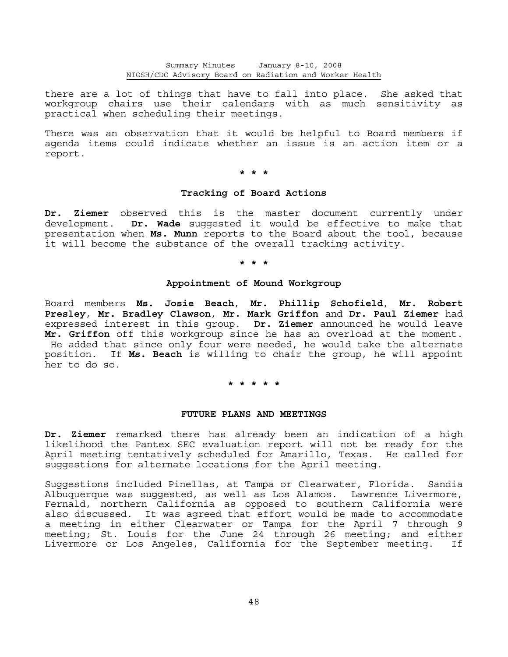there are a lot of things that have to fall into place. She asked that workgroup chairs use their calendars with as much sensitivity as practical when scheduling their meetings.

There was an observation that it would be helpful to Board members if agenda items could indicate whether an issue is an action item or a report.

# **\* \* \***

#### **Tracking of Board Actions**

**Dr. Ziemer** observed this is the master document currently under development. **Dr. Wade** suggested it would be effective to make that presentation when **Ms. Munn** reports to the Board about the tool, because it will become the substance of the overall tracking activity.

 **\* \* \***

## **Appointment of Mound Workgroup**

Board members **Ms. Josie Beach**, **Mr. Phillip Schofield**, **Mr. Robert Presley**, **Mr. Bradley Clawson**, **Mr. Mark Griffon** and **Dr. Paul Ziemer** had expressed interest in this group. **Dr. Ziemer** announced he would leave **Mr. Griffon** off this workgroup since he has an overload at the moment. He added that since only four were needed, he would take the alternate position. If **Ms. Beach** is willing to chair the group, he will appoint her to do so.

 **\* \* \* \* \***

#### **FUTURE PLANS AND MEETINGS**

**Dr. Ziemer** remarked there has already been an indication of a high likelihood the Pantex SEC evaluation report will not be ready for the April meeting tentatively scheduled for Amarillo, Texas. He called for suggestions for alternate locations for the April meeting.

Suggestions included Pinellas, at Tampa or Clearwater, Florida. Sandia Albuquerque was suggested, as well as Los Alamos. Lawrence Livermore, Fernald, northern California as opposed to southern California were also discussed. It was agreed that effort would be made to accommodate a meeting in either Clearwater or Tampa for the April 7 through 9 meeting; St. Louis for the June 24 through 26 meeting; and either Livermore or Los Angeles, California for the September meeting. If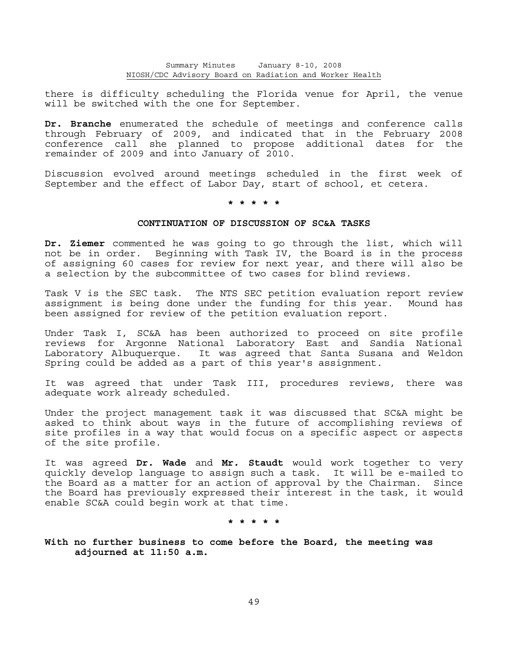there is difficulty scheduling the Florida venue for April, the venue will be switched with the one for September.

**Dr. Branche** enumerated the schedule of meetings and conference calls through February of 2009, and indicated that in the February 2008 conference call she planned to propose additional dates for the remainder of 2009 and into January of 2010.

Discussion evolved around meetings scheduled in the first week of September and the effect of Labor Day, start of school, et cetera.

 **\* \* \* \* \***

## **CONTINUATION OF DISCUSSION OF SC&A TASKS**

**Dr. Ziemer** commented he was going to go through the list, which will not be in order. Beginning with Task IV, the Board is in the process of assigning 60 cases for review for next year, and there will also be a selection by the subcommittee of two cases for blind reviews.

Task V is the SEC task. The NTS SEC petition evaluation report review assignment is being done under the funding for this year. Mound has been assigned for review of the petition evaluation report.

Under Task I, SC&A has been authorized to proceed on site profile reviews for Argonne National Laboratory East and Sandia National Laboratory Albuquerque. It was agreed that Santa Susana and Weldon Spring could be added as a part of this year's assignment.

It was agreed that under Task III, procedures reviews, there was adequate work already scheduled.

Under the project management task it was discussed that SC&A might be asked to think about ways in the future of accomplishing reviews of site profiles in a way that would focus on a specific aspect or aspects of the site profile.

It was agreed **Dr. Wade** and **Mr. Staudt** would work together to very quickly develop language to assign such a task. It will be e-mailed to the Board as a matter for an action of approval by the Chairman. Since the Board has previously expressed their interest in the task, it would enable SC&A could begin work at that time.

 **\* \* \* \* \***

**With no further business to come before the Board, the meeting was adjourned at 11:50 a.m.**